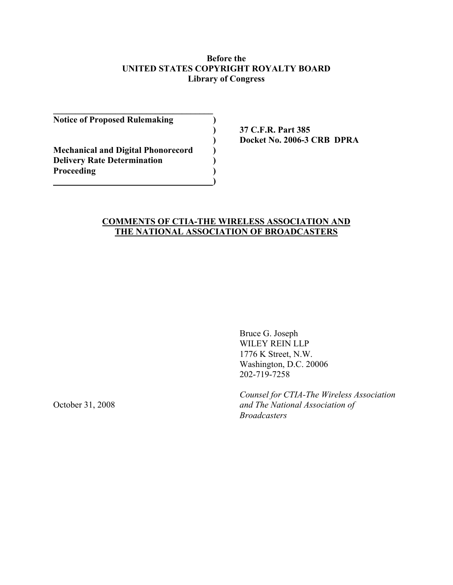#### **Before the UNITED STATES COPYRIGHT ROYALTY BOARD Library of Congress**

**Notice of Proposed Rulemaking )** 

**Mechanical and Digital Phonorecord ) Delivery Rate Determination** () Proceeding (1)

 **) ) ) () () () () () () () ()** 

**\_\_\_\_\_\_\_\_\_\_\_\_\_\_\_\_\_\_\_\_\_\_\_\_\_\_\_\_\_\_\_\_\_\_\_\_** 

 **) 37 C.F.R. Part 385 ) Docket No. 2006-3 CRB DPRA** 

# **COMMENTS OF CTIA-THE WIRELESS ASSOCIATION AND THE NATIONAL ASSOCIATION OF BROADCASTERS**

Bruce G. Joseph WILEY REIN LLP 1776 K Street, N.W. Washington, D.C. 20006 202-719-7258

 *Counsel for CTIA-The Wireless Association*  October 31, 2008 *and The National Association of Broadcasters*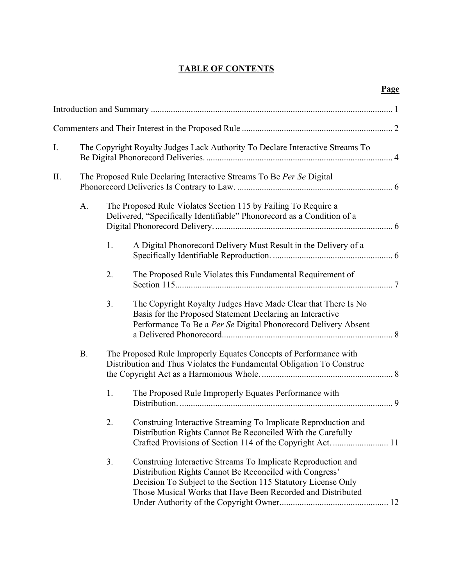# **TABLE OF CONTENTS**

|--|

| I. |                                                                      | The Copyright Royalty Judges Lack Authority To Declare Interactive Streams To                                                            |                                                                                                                                                                                                                                                         |  |  |  |
|----|----------------------------------------------------------------------|------------------------------------------------------------------------------------------------------------------------------------------|---------------------------------------------------------------------------------------------------------------------------------------------------------------------------------------------------------------------------------------------------------|--|--|--|
| Π. | The Proposed Rule Declaring Interactive Streams To Be Per Se Digital |                                                                                                                                          |                                                                                                                                                                                                                                                         |  |  |  |
|    | A.                                                                   | The Proposed Rule Violates Section 115 by Failing To Require a<br>Delivered, "Specifically Identifiable" Phonorecord as a Condition of a |                                                                                                                                                                                                                                                         |  |  |  |
|    |                                                                      | 1.                                                                                                                                       | A Digital Phonorecord Delivery Must Result in the Delivery of a                                                                                                                                                                                         |  |  |  |
|    |                                                                      | 2.                                                                                                                                       | The Proposed Rule Violates this Fundamental Requirement of                                                                                                                                                                                              |  |  |  |
|    |                                                                      | 3.                                                                                                                                       | The Copyright Royalty Judges Have Made Clear that There Is No<br>Basis for the Proposed Statement Declaring an Interactive<br>Performance To Be a Per Se Digital Phonorecord Delivery Absent                                                            |  |  |  |
|    | <b>B.</b>                                                            |                                                                                                                                          | The Proposed Rule Improperly Equates Concepts of Performance with<br>Distribution and Thus Violates the Fundamental Obligation To Construe                                                                                                              |  |  |  |
|    |                                                                      | 1.                                                                                                                                       | The Proposed Rule Improperly Equates Performance with                                                                                                                                                                                                   |  |  |  |
|    |                                                                      | 2.                                                                                                                                       | Construing Interactive Streaming To Implicate Reproduction and<br>Distribution Rights Cannot Be Reconciled With the Carefully                                                                                                                           |  |  |  |
|    |                                                                      | 3.                                                                                                                                       | Construing Interactive Streams To Implicate Reproduction and<br>Distribution Rights Cannot Be Reconciled with Congress'<br>Decision To Subject to the Section 115 Statutory License Only<br>Those Musical Works that Have Been Recorded and Distributed |  |  |  |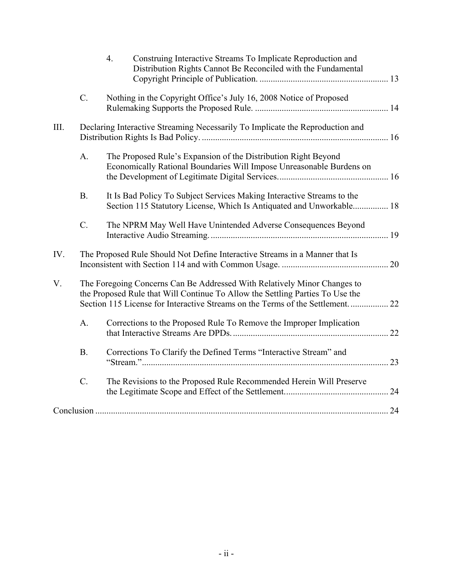|            |                                                                               | $\overline{4}$ .<br>Construing Interactive Streams To Implicate Reproduction and<br>Distribution Rights Cannot Be Reconciled with the Fundamental                                                                                          |    |  |  |  |
|------------|-------------------------------------------------------------------------------|--------------------------------------------------------------------------------------------------------------------------------------------------------------------------------------------------------------------------------------------|----|--|--|--|
|            | $C_{\cdot}$                                                                   | Nothing in the Copyright Office's July 16, 2008 Notice of Proposed                                                                                                                                                                         |    |  |  |  |
| III.       | Declaring Interactive Streaming Necessarily To Implicate the Reproduction and |                                                                                                                                                                                                                                            |    |  |  |  |
|            | A.                                                                            | The Proposed Rule's Expansion of the Distribution Right Beyond<br>Economically Rational Boundaries Will Impose Unreasonable Burdens on                                                                                                     |    |  |  |  |
|            | <b>B.</b>                                                                     | It Is Bad Policy To Subject Services Making Interactive Streams to the<br>Section 115 Statutory License, Which Is Antiquated and Unworkable 18                                                                                             |    |  |  |  |
|            | $C$ .                                                                         | The NPRM May Well Have Unintended Adverse Consequences Beyond                                                                                                                                                                              |    |  |  |  |
| IV.        | The Proposed Rule Should Not Define Interactive Streams in a Manner that Is   |                                                                                                                                                                                                                                            |    |  |  |  |
| V.         |                                                                               | The Foregoing Concerns Can Be Addressed With Relatively Minor Changes to<br>the Proposed Rule that Will Continue To Allow the Settling Parties To Use the<br>Section 115 License for Interactive Streams on the Terms of the Settlement 22 |    |  |  |  |
|            | A.                                                                            | Corrections to the Proposed Rule To Remove the Improper Implication                                                                                                                                                                        | 22 |  |  |  |
|            | <b>B.</b>                                                                     | Corrections To Clarify the Defined Terms "Interactive Stream" and                                                                                                                                                                          |    |  |  |  |
|            | $\overline{C}$ .                                                              | The Revisions to the Proposed Rule Recommended Herein Will Preserve                                                                                                                                                                        |    |  |  |  |
| Conclusion |                                                                               |                                                                                                                                                                                                                                            |    |  |  |  |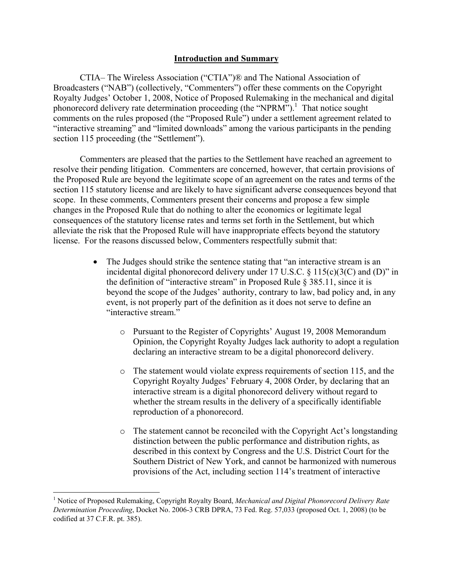#### **Introduction and Summary**

CTIA– The Wireless Association ("CTIA")® and The National Association of Broadcasters ("NAB") (collectively, "Commenters") offer these comments on the Copyright Royalty Judges' October 1, 2008, Notice of Proposed Rulemaking in the mechanical and digital phonorecord delivery rate determination proceeding (the "NPRM").<sup>1</sup> That notice sought comments on the rules proposed (the "Proposed Rule") under a settlement agreement related to "interactive streaming" and "limited downloads" among the various participants in the pending section 115 proceeding (the "Settlement").

Commenters are pleased that the parties to the Settlement have reached an agreement to resolve their pending litigation. Commenters are concerned, however, that certain provisions of the Proposed Rule are beyond the legitimate scope of an agreement on the rates and terms of the section 115 statutory license and are likely to have significant adverse consequences beyond that scope. In these comments, Commenters present their concerns and propose a few simple changes in the Proposed Rule that do nothing to alter the economics or legitimate legal consequences of the statutory license rates and terms set forth in the Settlement, but which alleviate the risk that the Proposed Rule will have inappropriate effects beyond the statutory license. For the reasons discussed below, Commenters respectfully submit that:

- The Judges should strike the sentence stating that "an interactive stream is an incidental digital phonorecord delivery under 17 U.S.C.  $\S$  115(c)(3(C) and (D)" in the definition of "interactive stream" in Proposed Rule  $\S 385.11$ , since it is beyond the scope of the Judges' authority, contrary to law, bad policy and, in any event, is not properly part of the definition as it does not serve to define an "interactive stream."
	- o Pursuant to the Register of Copyrights' August 19, 2008 Memorandum Opinion, the Copyright Royalty Judges lack authority to adopt a regulation declaring an interactive stream to be a digital phonorecord delivery.
	- o The statement would violate express requirements of section 115, and the Copyright Royalty Judges' February 4, 2008 Order, by declaring that an interactive stream is a digital phonorecord delivery without regard to whether the stream results in the delivery of a specifically identifiable reproduction of a phonorecord.
	- o The statement cannot be reconciled with the Copyright Act's longstanding distinction between the public performance and distribution rights, as described in this context by Congress and the U.S. District Court for the Southern District of New York, and cannot be harmonized with numerous provisions of the Act, including section 114's treatment of interactive

<sup>&</sup>lt;sup>1</sup> Notice of Proposed Rulemaking, Copyright Royalty Board, *Mechanical and Digital Phonorecord Delivery Rate Determination Proceeding*, Docket No. 2006-3 CRB DPRA, 73 Fed. Reg. 57,033 (proposed Oct. 1, 2008) (to be codified at 37 C.F.R. pt. 385).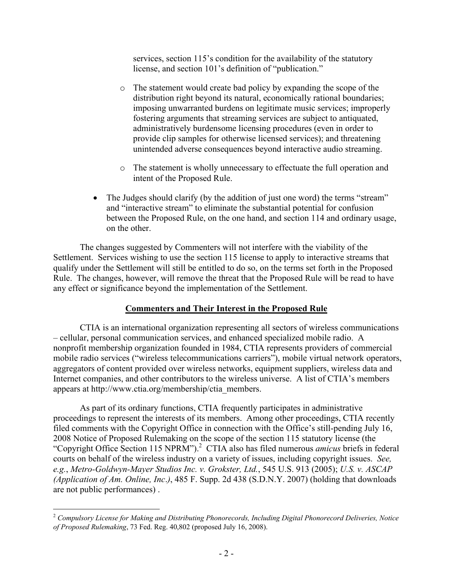services, section 115's condition for the availability of the statutory license, and section 101's definition of "publication."

- o The statement would create bad policy by expanding the scope of the distribution right beyond its natural, economically rational boundaries; imposing unwarranted burdens on legitimate music services; improperly fostering arguments that streaming services are subject to antiquated, administratively burdensome licensing procedures (even in order to provide clip samples for otherwise licensed services); and threatening unintended adverse consequences beyond interactive audio streaming.
- o The statement is wholly unnecessary to effectuate the full operation and intent of the Proposed Rule.
- The Judges should clarify (by the addition of just one word) the terms "stream" and "interactive stream" to eliminate the substantial potential for confusion between the Proposed Rule, on the one hand, and section 114 and ordinary usage, on the other.

 The changes suggested by Commenters will not interfere with the viability of the Settlement. Services wishing to use the section 115 license to apply to interactive streams that qualify under the Settlement will still be entitled to do so, on the terms set forth in the Proposed Rule. The changes, however, will remove the threat that the Proposed Rule will be read to have any effect or significance beyond the implementation of the Settlement.

# **Commenters and Their Interest in the Proposed Rule**

 CTIA is an international organization representing all sectors of wireless communications – cellular, personal communication services, and enhanced specialized mobile radio. A nonprofit membership organization founded in 1984, CTIA represents providers of commercial mobile radio services ("wireless telecommunications carriers"), mobile virtual network operators, aggregators of content provided over wireless networks, equipment suppliers, wireless data and Internet companies, and other contributors to the wireless universe. A list of CTIA's members appears at http://www.ctia.org/membership/ctia\_members.

 As part of its ordinary functions, CTIA frequently participates in administrative proceedings to represent the interests of its members. Among other proceedings, CTIA recently filed comments with the Copyright Office in connection with the Office's still-pending July 16, 2008 Notice of Proposed Rulemaking on the scope of the section 115 statutory license (the "Copyright Office Section 115 NPRM").<sup>2</sup> CTIA also has filed numerous *amicus* briefs in federal courts on behalf of the wireless industry on a variety of issues, including copyright issues. *See, e.g.*, *Metro-Goldwyn-Mayer Studios Inc. v. Grokster, Ltd.*, 545 U.S. 913 (2005); *U.S. v. ASCAP (Application of Am. Online, Inc*.*)*, 485 F. Supp. 2d 438 (S.D.N.Y. 2007) (holding that downloads are not public performances) .

<sup>2</sup> *Compulsory License for Making and Distributing Phonorecords, Including Digital Phonorecord Deliveries, Notice of Proposed Rulemaking*, 73 Fed. Reg. 40,802 (proposed July 16, 2008).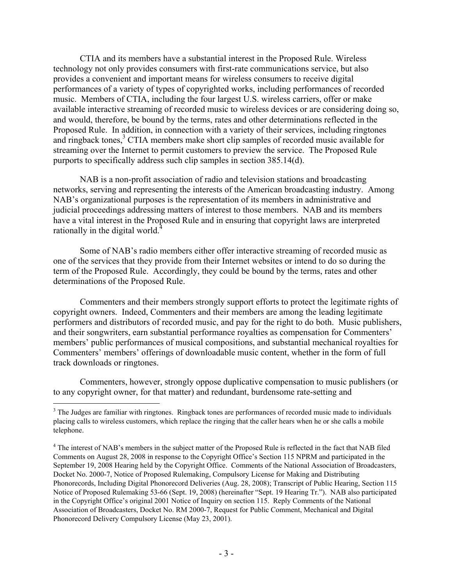CTIA and its members have a substantial interest in the Proposed Rule. Wireless technology not only provides consumers with first-rate communications service, but also provides a convenient and important means for wireless consumers to receive digital performances of a variety of types of copyrighted works, including performances of recorded music. Members of CTIA, including the four largest U.S. wireless carriers, offer or make available interactive streaming of recorded music to wireless devices or are considering doing so, and would, therefore, be bound by the terms, rates and other determinations reflected in the Proposed Rule. In addition, in connection with a variety of their services, including ringtones and ringback tones,<sup>3</sup> CTIA members make short clip samples of recorded music available for streaming over the Internet to permit customers to preview the service. The Proposed Rule purports to specifically address such clip samples in section 385.14(d).

 NAB is a non-profit association of radio and television stations and broadcasting networks, serving and representing the interests of the American broadcasting industry. Among NAB's organizational purposes is the representation of its members in administrative and judicial proceedings addressing matters of interest to those members. NAB and its members have a vital interest in the Proposed Rule and in ensuring that copyright laws are interpreted rationally in the digital world.<sup>4</sup>

 Some of NAB's radio members either offer interactive streaming of recorded music as one of the services that they provide from their Internet websites or intend to do so during the term of the Proposed Rule. Accordingly, they could be bound by the terms, rates and other determinations of the Proposed Rule.

 Commenters and their members strongly support efforts to protect the legitimate rights of copyright owners. Indeed, Commenters and their members are among the leading legitimate performers and distributors of recorded music, and pay for the right to do both. Music publishers, and their songwriters, earn substantial performance royalties as compensation for Commenters' members' public performances of musical compositions, and substantial mechanical royalties for Commenters' members' offerings of downloadable music content, whether in the form of full track downloads or ringtones.

 Commenters, however, strongly oppose duplicative compensation to music publishers (or to any copyright owner, for that matter) and redundant, burdensome rate-setting and

 $3$  The Judges are familiar with ringtones. Ringback tones are performances of recorded music made to individuals placing calls to wireless customers, which replace the ringing that the caller hears when he or she calls a mobile telephone.

<sup>&</sup>lt;sup>4</sup> The interest of NAB's members in the subject matter of the Proposed Rule is reflected in the fact that NAB filed Comments on August 28, 2008 in response to the Copyright Office's Section 115 NPRM and participated in the September 19, 2008 Hearing held by the Copyright Office. Comments of the National Association of Broadcasters, Docket No. 2000-7, Notice of Proposed Rulemaking, Compulsory License for Making and Distributing Phonorecords, Including Digital Phonorecord Deliveries (Aug. 28, 2008); Transcript of Public Hearing, Section 115 Notice of Proposed Rulemaking 53-66 (Sept. 19, 2008) (hereinafter "Sept. 19 Hearing Tr."). NAB also participated in the Copyright Office's original 2001 Notice of Inquiry on section 115. Reply Comments of the National Association of Broadcasters, Docket No. RM 2000-7, Request for Public Comment, Mechanical and Digital Phonorecord Delivery Compulsory License (May 23, 2001).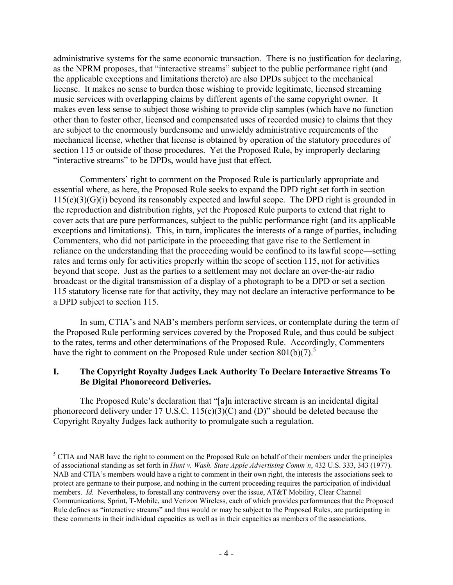administrative systems for the same economic transaction. There is no justification for declaring, as the NPRM proposes, that "interactive streams" subject to the public performance right (and the applicable exceptions and limitations thereto) are also DPDs subject to the mechanical license. It makes no sense to burden those wishing to provide legitimate, licensed streaming music services with overlapping claims by different agents of the same copyright owner. It makes even less sense to subject those wishing to provide clip samples (which have no function other than to foster other, licensed and compensated uses of recorded music) to claims that they are subject to the enormously burdensome and unwieldy administrative requirements of the mechanical license, whether that license is obtained by operation of the statutory procedures of section 115 or outside of those procedures. Yet the Proposed Rule, by improperly declaring "interactive streams" to be DPDs, would have just that effect.

 Commenters' right to comment on the Proposed Rule is particularly appropriate and essential where, as here, the Proposed Rule seeks to expand the DPD right set forth in section  $115(c)(3)(G)(i)$  beyond its reasonably expected and lawful scope. The DPD right is grounded in the reproduction and distribution rights, yet the Proposed Rule purports to extend that right to cover acts that are pure performances, subject to the public performance right (and its applicable exceptions and limitations). This, in turn, implicates the interests of a range of parties, including Commenters, who did not participate in the proceeding that gave rise to the Settlement in reliance on the understanding that the proceeding would be confined to its lawful scope—setting rates and terms only for activities properly within the scope of section 115, not for activities beyond that scope. Just as the parties to a settlement may not declare an over-the-air radio broadcast or the digital transmission of a display of a photograph to be a DPD or set a section 115 statutory license rate for that activity, they may not declare an interactive performance to be a DPD subject to section 115.

 In sum, CTIA's and NAB's members perform services, or contemplate during the term of the Proposed Rule performing services covered by the Proposed Rule, and thus could be subject to the rates, terms and other determinations of the Proposed Rule. Accordingly, Commenters have the right to comment on the Proposed Rule under section  $801(b)(7)$ .<sup>5</sup>

# **I. The Copyright Royalty Judges Lack Authority To Declare Interactive Streams To Be Digital Phonorecord Deliveries.**

The Proposed Rule's declaration that "[a]n interactive stream is an incidental digital phonorecord delivery under 17 U.S.C.  $115(c)(3)(C)$  and (D)" should be deleted because the Copyright Royalty Judges lack authority to promulgate such a regulation.

 $<sup>5</sup>$  CTIA and NAB have the right to comment on the Proposed Rule on behalf of their members under the principles</sup> of associational standing as set forth in *Hunt v. Wash. State Apple Advertising Comm'n*, 432 U.S. 333, 343 (1977). NAB and CTIA's members would have a right to comment in their own right, the interests the associations seek to protect are germane to their purpose, and nothing in the current proceeding requires the participation of individual members. *Id.* Nevertheless, to forestall any controversy over the issue, AT&T Mobility, Clear Channel Communications, Sprint, T-Mobile, and Verizon Wireless, each of which provides performances that the Proposed Rule defines as "interactive streams" and thus would or may be subject to the Proposed Rules, are participating in these comments in their individual capacities as well as in their capacities as members of the associations.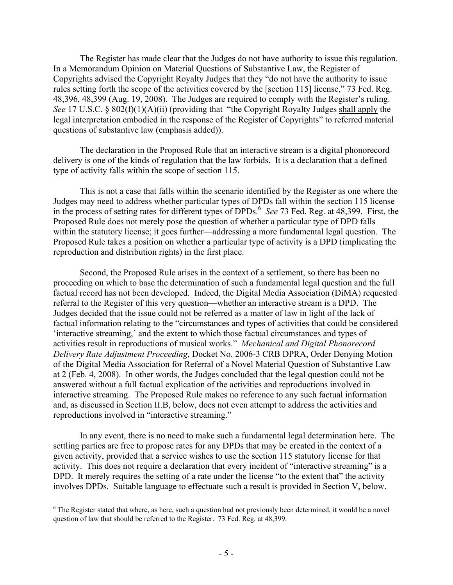The Register has made clear that the Judges do not have authority to issue this regulation. In a Memorandum Opinion on Material Questions of Substantive Law, the Register of Copyrights advised the Copyright Royalty Judges that they "do not have the authority to issue rules setting forth the scope of the activities covered by the [section 115] license," 73 Fed. Reg. 48,396, 48,399 (Aug. 19, 2008). The Judges are required to comply with the Register's ruling. *See* 17 U.S.C. § 802(f)(1)(A)(ii) (providing that "the Copyright Royalty Judges shall apply the legal interpretation embodied in the response of the Register of Copyrights" to referred material questions of substantive law (emphasis added)).

The declaration in the Proposed Rule that an interactive stream is a digital phonorecord delivery is one of the kinds of regulation that the law forbids. It is a declaration that a defined type of activity falls within the scope of section 115.

This is not a case that falls within the scenario identified by the Register as one where the Judges may need to address whether particular types of DPDs fall within the section 115 license in the process of setting rates for different types of DPDs.<sup>6</sup> See 73 Fed. Reg. at 48,399. First, the Proposed Rule does not merely pose the question of whether a particular type of DPD falls within the statutory license; it goes further—addressing a more fundamental legal question. The Proposed Rule takes a position on whether a particular type of activity is a DPD (implicating the reproduction and distribution rights) in the first place.

Second, the Proposed Rule arises in the context of a settlement, so there has been no proceeding on which to base the determination of such a fundamental legal question and the full factual record has not been developed. Indeed, the Digital Media Association (DiMA) requested referral to the Register of this very question—whether an interactive stream is a DPD. The Judges decided that the issue could not be referred as a matter of law in light of the lack of factual information relating to the "circumstances and types of activities that could be considered 'interactive streaming,' and the extent to which those factual circumstances and types of activities result in reproductions of musical works." *Mechanical and Digital Phonorecord Delivery Rate Adjustment Proceeding*, Docket No. 2006-3 CRB DPRA, Order Denying Motion of the Digital Media Association for Referral of a Novel Material Question of Substantive Law at 2 (Feb. 4, 2008). In other words, the Judges concluded that the legal question could not be answered without a full factual explication of the activities and reproductions involved in interactive streaming. The Proposed Rule makes no reference to any such factual information and, as discussed in Section II.B, below, does not even attempt to address the activities and reproductions involved in "interactive streaming."

In any event, there is no need to make such a fundamental legal determination here. The settling parties are free to propose rates for any DPDs that may be created in the context of a given activity, provided that a service wishes to use the section 115 statutory license for that activity. This does not require a declaration that every incident of "interactive streaming" is a DPD. It merely requires the setting of a rate under the license "to the extent that" the activity involves DPDs. Suitable language to effectuate such a result is provided in Section V, below.

1

 $6$  The Register stated that where, as here, such a question had not previously been determined, it would be a novel question of law that should be referred to the Register. 73 Fed. Reg. at 48,399.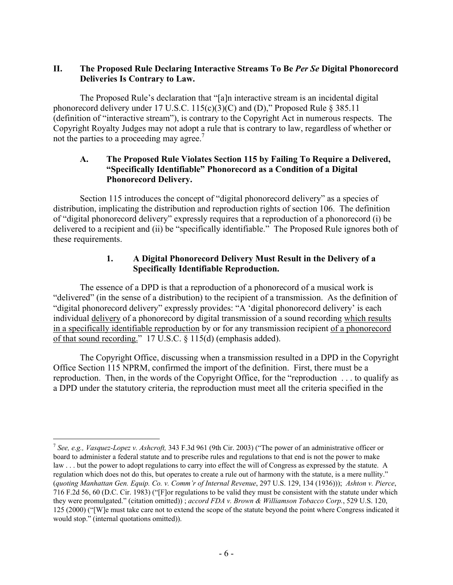# **II. The Proposed Rule Declaring Interactive Streams To Be** *Per Se* **Digital Phonorecord Deliveries Is Contrary to Law.**

 The Proposed Rule's declaration that "[a]n interactive stream is an incidental digital phonorecord delivery under 17 U.S.C. 115(c)(3)(C) and (D)," Proposed Rule  $\S 385.11$ (definition of "interactive stream"), is contrary to the Copyright Act in numerous respects. The Copyright Royalty Judges may not adopt a rule that is contrary to law, regardless of whether or not the parties to a proceeding may agree.<sup>7</sup>

# **A. The Proposed Rule Violates Section 115 by Failing To Require a Delivered, "Specifically Identifiable" Phonorecord as a Condition of a Digital Phonorecord Delivery.**

 Section 115 introduces the concept of "digital phonorecord delivery" as a species of distribution, implicating the distribution and reproduction rights of section 106. The definition of "digital phonorecord delivery" expressly requires that a reproduction of a phonorecord (i) be delivered to a recipient and (ii) be "specifically identifiable." The Proposed Rule ignores both of these requirements.

# **1. A Digital Phonorecord Delivery Must Result in the Delivery of a Specifically Identifiable Reproduction.**

 The essence of a DPD is that a reproduction of a phonorecord of a musical work is "delivered" (in the sense of a distribution) to the recipient of a transmission. As the definition of "digital phonorecord delivery" expressly provides: "A 'digital phonorecord delivery' is each individual delivery of a phonorecord by digital transmission of a sound recording which results in a specifically identifiable reproduction by or for any transmission recipient of a phonorecord of that sound recording." 17 U.S.C. § 115(d) (emphasis added).

 The Copyright Office, discussing when a transmission resulted in a DPD in the Copyright Office Section 115 NPRM, confirmed the import of the definition. First, there must be a reproduction. Then, in the words of the Copyright Office, for the "reproduction . . . to qualify as a DPD under the statutory criteria, the reproduction must meet all the criteria specified in the

<sup>7</sup> *See, e.g., Vasquez-Lopez v. Ashcroft,* 343 F.3d 961 (9th Cir. 2003) ("The power of an administrative officer or board to administer a federal statute and to prescribe rules and regulations to that end is not the power to make law . . . but the power to adopt regulations to carry into effect the will of Congress as expressed by the statute. A regulation which does not do this, but operates to create a rule out of harmony with the statute, is a mere nullity." (*quoting Manhattan Gen. Equip. Co. v. Comm'r of Internal Revenue*, 297 U.S. 129, 134 (1936))); *Ashton v. Pierce*, 716 F.2d 56, 60 (D.C. Cir. 1983) ("[F]or regulations to be valid they must be consistent with the statute under which they were promulgated." (citation omitted)) ; *accord FDA v. Brown & Williamson Tobacco Corp.*, 529 U.S. 120, 125 (2000) ("[W]e must take care not to extend the scope of the statute beyond the point where Congress indicated it would stop." (internal quotations omitted)).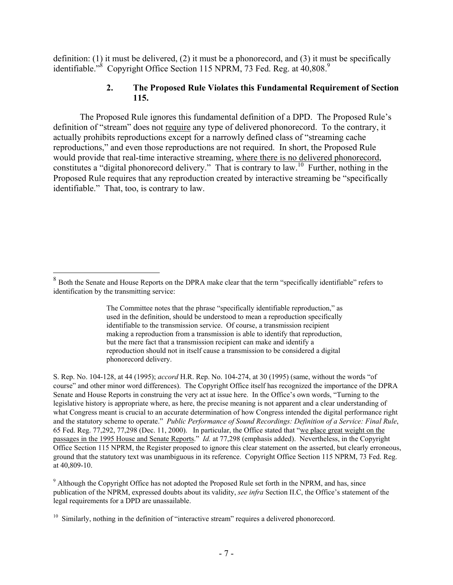definition: (1) it must be delivered, (2) it must be a phonorecord, and (3) it must be specifically identifiable."<sup>8</sup> Copyright Office Section 115 NPRM, 73 Fed. Reg. at  $40,808$ .<sup>9</sup>

## **2. The Proposed Rule Violates this Fundamental Requirement of Section 115.**

 The Proposed Rule ignores this fundamental definition of a DPD. The Proposed Rule's definition of "stream" does not require any type of delivered phonorecord. To the contrary, it actually prohibits reproductions except for a narrowly defined class of "streaming cache reproductions," and even those reproductions are not required. In short, the Proposed Rule would provide that real-time interactive streaming, where there is no delivered phonorecord, constitutes a "digital phonorecord delivery." That is contrary to law.<sup>10</sup> Further, nothing in the Proposed Rule requires that any reproduction created by interactive streaming be "specifically identifiable." That, too, is contrary to law.

<u>.</u>

S. Rep. No. 104-128, at 44 (1995); *accord* H.R. Rep. No. 104-274, at 30 (1995) (same, without the words "of course" and other minor word differences). The Copyright Office itself has recognized the importance of the DPRA Senate and House Reports in construing the very act at issue here. In the Office's own words, "Turning to the legislative history is appropriate where, as here, the precise meaning is not apparent and a clear understanding of what Congress meant is crucial to an accurate determination of how Congress intended the digital performance right and the statutory scheme to operate." *Public Performance of Sound Recordings: Definition of a Service: Final Rule*, 65 Fed. Reg. 77,292, 77,298 (Dec. 11, 2000). In particular, the Office stated that "we place great weight on the passages in the 1995 House and Senate Reports." *Id.* at 77,298 (emphasis added). Nevertheless, in the Copyright Office Section 115 NPRM, the Register proposed to ignore this clear statement on the asserted, but clearly erroneous, ground that the statutory text was unambiguous in its reference. Copyright Office Section 115 NPRM, 73 Fed. Reg. at 40,809-10.

 $9$  Although the Copyright Office has not adopted the Proposed Rule set forth in the NPRM, and has, since publication of the NPRM, expressed doubts about its validity, *see infra* Section II.C, the Office's statement of the legal requirements for a DPD are unassailable.

 $8$  Both the Senate and House Reports on the DPRA make clear that the term "specifically identifiable" refers to identification by the transmitting service:

The Committee notes that the phrase "specifically identifiable reproduction," as used in the definition, should be understood to mean a reproduction specifically identifiable to the transmission service. Of course, a transmission recipient making a reproduction from a transmission is able to identify that reproduction, but the mere fact that a transmission recipient can make and identify a reproduction should not in itself cause a transmission to be considered a digital phonorecord delivery.

 $10\,$  Similarly, nothing in the definition of "interactive stream" requires a delivered phonorecord.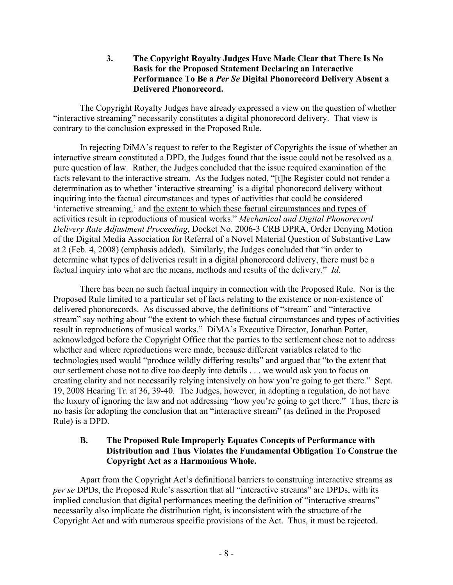**3. The Copyright Royalty Judges Have Made Clear that There Is No Basis for the Proposed Statement Declaring an Interactive Performance To Be a** *Per Se* **Digital Phonorecord Delivery Absent a Delivered Phonorecord.** 

 The Copyright Royalty Judges have already expressed a view on the question of whether "interactive streaming" necessarily constitutes a digital phonorecord delivery. That view is contrary to the conclusion expressed in the Proposed Rule.

 In rejecting DiMA's request to refer to the Register of Copyrights the issue of whether an interactive stream constituted a DPD, the Judges found that the issue could not be resolved as a pure question of law. Rather, the Judges concluded that the issue required examination of the facts relevant to the interactive stream. As the Judges noted, "[t]he Register could not render a determination as to whether 'interactive streaming' is a digital phonorecord delivery without inquiring into the factual circumstances and types of activities that could be considered 'interactive streaming,' and the extent to which these factual circumstances and types of activities result in reproductions of musical works." *Mechanical and Digital Phonorecord Delivery Rate Adjustment Proceeding*, Docket No. 2006-3 CRB DPRA, Order Denying Motion of the Digital Media Association for Referral of a Novel Material Question of Substantive Law at 2 (Feb. 4, 2008) (emphasis added). Similarly, the Judges concluded that "in order to determine what types of deliveries result in a digital phonorecord delivery, there must be a factual inquiry into what are the means, methods and results of the delivery." *Id.*

 There has been no such factual inquiry in connection with the Proposed Rule. Nor is the Proposed Rule limited to a particular set of facts relating to the existence or non-existence of delivered phonorecords. As discussed above, the definitions of "stream" and "interactive stream" say nothing about "the extent to which these factual circumstances and types of activities result in reproductions of musical works." DiMA's Executive Director, Jonathan Potter, acknowledged before the Copyright Office that the parties to the settlement chose not to address whether and where reproductions were made, because different variables related to the technologies used would "produce wildly differing results" and argued that "to the extent that our settlement chose not to dive too deeply into details . . . we would ask you to focus on creating clarity and not necessarily relying intensively on how you're going to get there." Sept. 19, 2008 Hearing Tr. at 36, 39-40.The Judges, however, in adopting a regulation, do not have the luxury of ignoring the law and not addressing "how you're going to get there." Thus, there is no basis for adopting the conclusion that an "interactive stream" (as defined in the Proposed Rule) is a DPD.

# **B. The Proposed Rule Improperly Equates Concepts of Performance with Distribution and Thus Violates the Fundamental Obligation To Construe the Copyright Act as a Harmonious Whole.**

 Apart from the Copyright Act's definitional barriers to construing interactive streams as *per se* DPDs, the Proposed Rule's assertion that all "interactive streams" are DPDs, with its implied conclusion that digital performances meeting the definition of "interactive streams" necessarily also implicate the distribution right, is inconsistent with the structure of the Copyright Act and with numerous specific provisions of the Act. Thus, it must be rejected.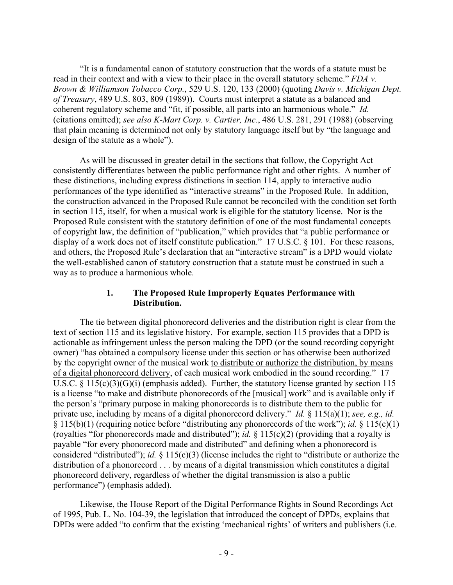"It is a fundamental canon of statutory construction that the words of a statute must be read in their context and with a view to their place in the overall statutory scheme." *FDA v. Brown & Williamson Tobacco Corp.*, 529 U.S. 120, 133 (2000) (quoting *Davis v. Michigan Dept. of Treasury*, 489 U.S. 803, 809 (1989)). Courts must interpret a statute as a balanced and coherent regulatory scheme and "fit, if possible, all parts into an harmonious whole." *Id.* (citations omitted); *see also K-Mart Corp. v. Cartier, Inc.*, 486 U.S. 281, 291 (1988) (observing that plain meaning is determined not only by statutory language itself but by "the language and design of the statute as a whole").

 As will be discussed in greater detail in the sections that follow, the Copyright Act consistently differentiates between the public performance right and other rights. A number of these distinctions, including express distinctions in section 114, apply to interactive audio performances of the type identified as "interactive streams" in the Proposed Rule. In addition, the construction advanced in the Proposed Rule cannot be reconciled with the condition set forth in section 115, itself, for when a musical work is eligible for the statutory license. Nor is the Proposed Rule consistent with the statutory definition of one of the most fundamental concepts of copyright law, the definition of "publication," which provides that "a public performance or display of a work does not of itself constitute publication." 17 U.S.C. § 101. For these reasons, and others, the Proposed Rule's declaration that an "interactive stream" is a DPD would violate the well-established canon of statutory construction that a statute must be construed in such a way as to produce a harmonious whole.

## **1. The Proposed Rule Improperly Equates Performance with Distribution.**

 The tie between digital phonorecord deliveries and the distribution right is clear from the text of section 115 and its legislative history. For example, section 115 provides that a DPD is actionable as infringement unless the person making the DPD (or the sound recording copyright owner) "has obtained a compulsory license under this section or has otherwise been authorized by the copyright owner of the musical work to distribute or authorize the distribution, by means of a digital phonorecord delivery, of each musical work embodied in the sound recording." 17 U.S.C.  $\S$  115(c)(3)(G)(i) (emphasis added). Further, the statutory license granted by section 115 is a license "to make and distribute phonorecords of the [musical] work" and is available only if the person's "primary purpose in making phonorecords is to distribute them to the public for private use, including by means of a digital phonorecord delivery." *Id.* § 115(a)(1); *see, e.g., id.*  § 115(b)(1) (requiring notice before "distributing any phonorecords of the work"); *id.* § 115(c)(1) (royalties "for phonorecords made and distributed"); *id.* § 115(c)(2) (providing that a royalty is payable "for every phonorecord made and distributed" and defining when a phonorecord is considered "distributed"); *id.* § 115(c)(3) (license includes the right to "distribute or authorize the distribution of a phonorecord . . . by means of a digital transmission which constitutes a digital phonorecord delivery, regardless of whether the digital transmission is also a public performance") (emphasis added).

 Likewise, the House Report of the Digital Performance Rights in Sound Recordings Act of 1995, Pub. L. No. 104-39, the legislation that introduced the concept of DPDs, explains that DPDs were added "to confirm that the existing 'mechanical rights' of writers and publishers (i.e.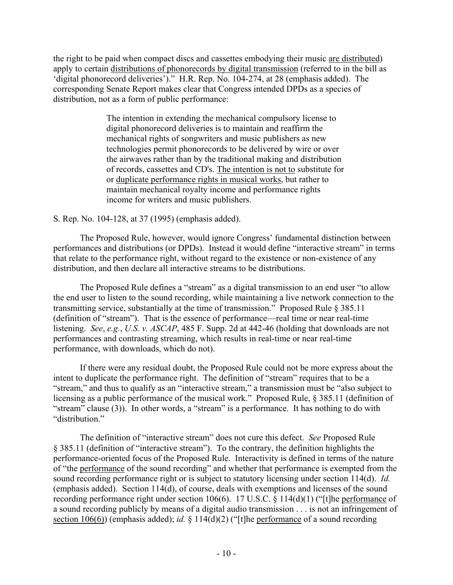the right to be paid when compact discs and cassettes embodying their music are distributed) apply to certain distributions of phonorecords by digital transmission (referred to in the bill as 'digital phonorecord deliveries')." H.R. Rep. No. 104-274, at 28 (emphasis added). The corresponding Senate Report makes clear that Congress intended DPDs as a species of distribution, not as a form of public performance:

> The intention in extending the mechanical compulsory license to digital phonorecord deliveries is to maintain and reaffirm the mechanical rights of songwriters and music publishers as new technologies permit phonorecords to be delivered by wire or over the airwaves rather than by the traditional making and distribution of records, cassettes and CD's. The intention is not to substitute for or duplicate performance rights in musical works, but rather to maintain mechanical royalty income and performance rights income for writers and music publishers.

# S. Rep. No. 104-128, at 37 (1995) (emphasis added).

 The Proposed Rule, however, would ignore Congress' fundamental distinction between performances and distributions (or DPDs). Instead it would define "interactive stream" in terms that relate to the performance right, without regard to the existence or non-existence of any distribution, and then declare all interactive streams to be distributions.

 The Proposed Rule defines a "stream" as a digital transmission to an end user "to allow the end user to listen to the sound recording, while maintaining a live network connection to the transmitting service, substantially at the time of transmission." Proposed Rule § 385.11 (definition of "stream"). That is the essence of performance—real time or near real-time listening. *See*, *e.g.*, *U.S. v. ASCAP*, 485 F. Supp. 2d at 442-46 (holding that downloads are not performances and contrasting streaming, which results in real-time or near real-time performance, with downloads, which do not).

If there were any residual doubt, the Proposed Rule could not be more express about the intent to duplicate the performance right. The definition of "stream" requires that to be a "stream," and thus to qualify as an "interactive stream," a transmission must be "also subject to licensing as a public performance of the musical work." Proposed Rule, § 385.11 (definition of "stream" clause (3)). In other words, a "stream" is a performance. It has nothing to do with "distribution."

 The definition of "interactive stream" does not cure this defect. *See* Proposed Rule § 385.11 (definition of "interactive stream"). To the contrary, the definition highlights the performance-oriented focus of the Proposed Rule. Interactivity is defined in terms of the nature of "the performance of the sound recording" and whether that performance is exempted from the sound recording performance right or is subject to statutory licensing under section 114(d). *Id.*  (emphasis added). Section 114(d), of course, deals with exemptions and licenses of the sound recording performance right under section 106(6). 17 U.S.C. § 114(d)(1) ("[t]he performance of a sound recording publicly by means of a digital audio transmission . . . is not an infringement of section 106(6)) (emphasis added); *id.* § 114(d)(2) ("[t]he performance of a sound recording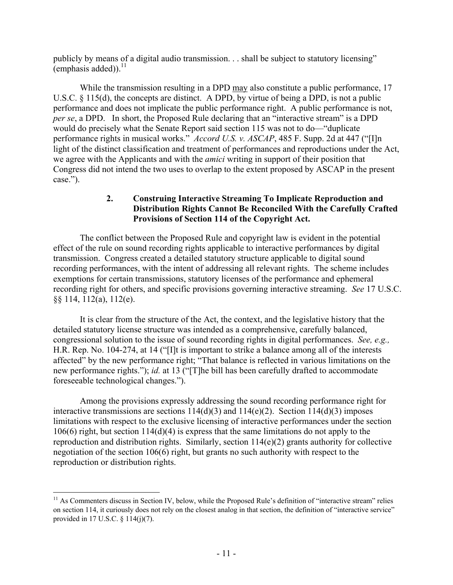publicly by means of a digital audio transmission. . . shall be subject to statutory licensing" (emphasis added)). $^{11}$ 

While the transmission resulting in a DPD may also constitute a public performance, 17 U.S.C. § 115(d), the concepts are distinct. A DPD, by virtue of being a DPD, is not a public performance and does not implicate the public performance right. A public performance is not, *per se*, a DPD. In short, the Proposed Rule declaring that an "interactive stream" is a DPD would do precisely what the Senate Report said section 115 was not to do—"duplicate performance rights in musical works." *Accord U.S. v. ASCAP*, 485 F. Supp. 2d at 447 ("[I]n light of the distinct classification and treatment of performances and reproductions under the Act, we agree with the Applicants and with the *amici* writing in support of their position that Congress did not intend the two uses to overlap to the extent proposed by ASCAP in the present case.").

## **2. Construing Interactive Streaming To Implicate Reproduction and Distribution Rights Cannot Be Reconciled With the Carefully Crafted Provisions of Section 114 of the Copyright Act.**

 The conflict between the Proposed Rule and copyright law is evident in the potential effect of the rule on sound recording rights applicable to interactive performances by digital transmission. Congress created a detailed statutory structure applicable to digital sound recording performances, with the intent of addressing all relevant rights. The scheme includes exemptions for certain transmissions, statutory licenses of the performance and ephemeral recording right for others, and specific provisions governing interactive streaming. *See* 17 U.S.C. §§ 114, 112(a), 112(e).

 It is clear from the structure of the Act, the context, and the legislative history that the detailed statutory license structure was intended as a comprehensive, carefully balanced, congressional solution to the issue of sound recording rights in digital performances. *See, e.g.,*  H.R. Rep. No. 104-274, at 14 ("[I]t is important to strike a balance among all of the interests affected" by the new performance right; "That balance is reflected in various limitations on the new performance rights."); *id.* at 13 ("[T]he bill has been carefully drafted to accommodate foreseeable technological changes.").

 Among the provisions expressly addressing the sound recording performance right for interactive transmissions are sections  $114(d)(3)$  and  $114(e)(2)$ . Section  $114(d)(3)$  imposes limitations with respect to the exclusive licensing of interactive performances under the section 106(6) right, but section 114(d)(4) is express that the same limitations do not apply to the reproduction and distribution rights. Similarly, section 114(e)(2) grants authority for collective negotiation of the section 106(6) right, but grants no such authority with respect to the reproduction or distribution rights.

 $11$  As Commenters discuss in Section IV, below, while the Proposed Rule's definition of "interactive stream" relies on section 114, it curiously does not rely on the closest analog in that section, the definition of "interactive service" provided in 17 U.S.C. § 114(j)(7).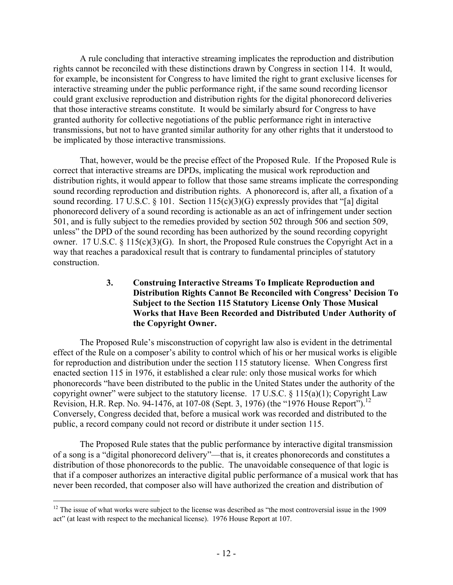A rule concluding that interactive streaming implicates the reproduction and distribution rights cannot be reconciled with these distinctions drawn by Congress in section 114. It would, for example, be inconsistent for Congress to have limited the right to grant exclusive licenses for interactive streaming under the public performance right, if the same sound recording licensor could grant exclusive reproduction and distribution rights for the digital phonorecord deliveries that those interactive streams constitute. It would be similarly absurd for Congress to have granted authority for collective negotiations of the public performance right in interactive transmissions, but not to have granted similar authority for any other rights that it understood to be implicated by those interactive transmissions.

 That, however, would be the precise effect of the Proposed Rule. If the Proposed Rule is correct that interactive streams are DPDs, implicating the musical work reproduction and distribution rights, it would appear to follow that those same streams implicate the corresponding sound recording reproduction and distribution rights. A phonorecord is, after all, a fixation of a sound recording. 17 U.S.C. § 101. Section 115(c)(3)(G) expressly provides that "[a] digital phonorecord delivery of a sound recording is actionable as an act of infringement under section 501, and is fully subject to the remedies provided by section 502 through 506 and section 509, unless" the DPD of the sound recording has been authorized by the sound recording copyright owner. 17 U.S.C. § 115(c)(3)(G). In short, the Proposed Rule construes the Copyright Act in a way that reaches a paradoxical result that is contrary to fundamental principles of statutory construction.

## **3. Construing Interactive Streams To Implicate Reproduction and Distribution Rights Cannot Be Reconciled with Congress' Decision To Subject to the Section 115 Statutory License Only Those Musical Works that Have Been Recorded and Distributed Under Authority of the Copyright Owner.**

 The Proposed Rule's misconstruction of copyright law also is evident in the detrimental effect of the Rule on a composer's ability to control which of his or her musical works is eligible for reproduction and distribution under the section 115 statutory license. When Congress first enacted section 115 in 1976, it established a clear rule: only those musical works for which phonorecords "have been distributed to the public in the United States under the authority of the copyright owner" were subject to the statutory license. 17 U.S.C.  $\S$  115(a)(1); Copyright Law Revision, H.R. Rep. No. 94-1476, at 107-08 (Sept. 3, 1976) (the "1976 House Report").<sup>12</sup> Conversely, Congress decided that, before a musical work was recorded and distributed to the public, a record company could not record or distribute it under section 115.

The Proposed Rule states that the public performance by interactive digital transmission of a song is a "digital phonorecord delivery"—that is, it creates phonorecords and constitutes a distribution of those phonorecords to the public. The unavoidable consequence of that logic is that if a composer authorizes an interactive digital public performance of a musical work that has never been recorded, that composer also will have authorized the creation and distribution of

 $12$  The issue of what works were subject to the license was described as "the most controversial issue in the 1909 act" (at least with respect to the mechanical license). 1976 House Report at 107.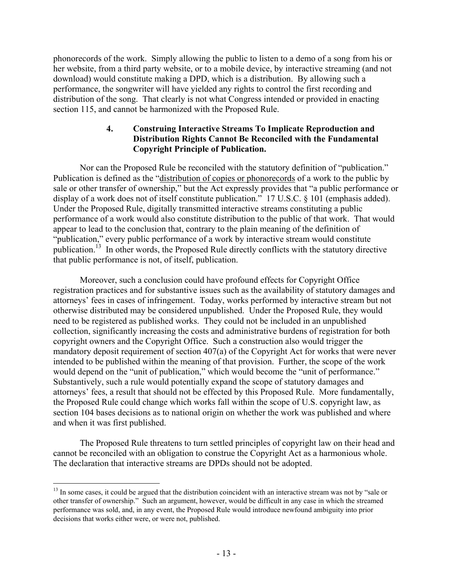phonorecords of the work. Simply allowing the public to listen to a demo of a song from his or her website, from a third party website, or to a mobile device, by interactive streaming (and not download) would constitute making a DPD, which is a distribution. By allowing such a performance, the songwriter will have yielded any rights to control the first recording and distribution of the song. That clearly is not what Congress intended or provided in enacting section 115, and cannot be harmonized with the Proposed Rule.

# **4. Construing Interactive Streams To Implicate Reproduction and Distribution Rights Cannot Be Reconciled with the Fundamental Copyright Principle of Publication.**

 Nor can the Proposed Rule be reconciled with the statutory definition of "publication." Publication is defined as the "distribution of copies or phonorecords of a work to the public by sale or other transfer of ownership," but the Act expressly provides that "a public performance or display of a work does not of itself constitute publication." 17 U.S.C. § 101 (emphasis added). Under the Proposed Rule, digitally transmitted interactive streams constituting a public performance of a work would also constitute distribution to the public of that work. That would appear to lead to the conclusion that, contrary to the plain meaning of the definition of "publication," every public performance of a work by interactive stream would constitute publication.<sup>13</sup> In other words, the Proposed Rule directly conflicts with the statutory directive that public performance is not, of itself, publication.

 Moreover, such a conclusion could have profound effects for Copyright Office registration practices and for substantive issues such as the availability of statutory damages and attorneys' fees in cases of infringement. Today, works performed by interactive stream but not otherwise distributed may be considered unpublished. Under the Proposed Rule, they would need to be registered as published works. They could not be included in an unpublished collection, significantly increasing the costs and administrative burdens of registration for both copyright owners and the Copyright Office. Such a construction also would trigger the mandatory deposit requirement of section 407(a) of the Copyright Act for works that were never intended to be published within the meaning of that provision. Further, the scope of the work would depend on the "unit of publication," which would become the "unit of performance." Substantively, such a rule would potentially expand the scope of statutory damages and attorneys' fees, a result that should not be effected by this Proposed Rule. More fundamentally, the Proposed Rule could change which works fall within the scope of U.S. copyright law, as section 104 bases decisions as to national origin on whether the work was published and where and when it was first published.

 The Proposed Rule threatens to turn settled principles of copyright law on their head and cannot be reconciled with an obligation to construe the Copyright Act as a harmonious whole. The declaration that interactive streams are DPDs should not be adopted.

<sup>&</sup>lt;sup>13</sup> In some cases, it could be argued that the distribution coincident with an interactive stream was not by "sale or other transfer of ownership." Such an argument, however, would be difficult in any case in which the streamed performance was sold, and, in any event, the Proposed Rule would introduce newfound ambiguity into prior decisions that works either were, or were not, published.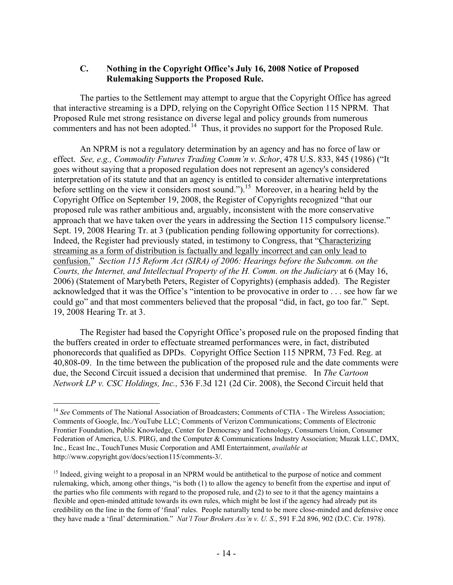# **C. Nothing in the Copyright Office's July 16, 2008 Notice of Proposed Rulemaking Supports the Proposed Rule.**

 The parties to the Settlement may attempt to argue that the Copyright Office has agreed that interactive streaming is a DPD, relying on the Copyright Office Section 115 NPRM. That Proposed Rule met strong resistance on diverse legal and policy grounds from numerous commenters and has not been adopted.<sup>14</sup> Thus, it provides no support for the Proposed Rule.

 An NPRM is not a regulatory determination by an agency and has no force of law or effect. *See, e.g., Commodity Futures Trading Comm'n v. Schor*, 478 U.S. 833, 845 (1986) ("It goes without saying that a proposed regulation does not represent an agency's considered interpretation of its statute and that an agency is entitled to consider alternative interpretations before settling on the view it considers most sound.").<sup>15</sup> Moreover, in a hearing held by the Copyright Office on September 19, 2008, the Register of Copyrights recognized "that our proposed rule was rather ambitious and, arguably, inconsistent with the more conservative approach that we have taken over the years in addressing the Section 115 compulsory license." Sept. 19, 2008 Hearing Tr. at 3 (publication pending following opportunity for corrections). Indeed, the Register had previously stated, in testimony to Congress, that "Characterizing streaming as a form of distribution is factually and legally incorrect and can only lead to confusion." *Section 115 Reform Act (SIRA) of 2006: Hearings before the Subcomm. on the Courts, the Internet, and Intellectual Property of the H. Comm. on the Judiciary* at 6 (May 16, 2006) (Statement of Marybeth Peters, Register of Copyrights) (emphasis added). The Register acknowledged that it was the Office's "intention to be provocative in order to . . . see how far we could go" and that most commenters believed that the proposal "did, in fact, go too far." Sept. 19, 2008 Hearing Tr. at 3.

 The Register had based the Copyright Office's proposed rule on the proposed finding that the buffers created in order to effectuate streamed performances were, in fact, distributed phonorecords that qualified as DPDs. Copyright Office Section 115 NPRM, 73 Fed. Reg. at 40,808-09. In the time between the publication of the proposed rule and the date comments were due, the Second Circuit issued a decision that undermined that premise. In *The Cartoon Network LP v. CSC Holdings, Inc.,* 536 F.3d 121 (2d Cir. 2008), the Second Circuit held that

<sup>&</sup>lt;sup>14</sup> *See* Comments of The National Association of Broadcasters; Comments of CTIA - The Wireless Association; Comments of Google, Inc./YouTube LLC; Comments of Verizon Communications; Comments of Electronic Frontier Foundation, Public Knowledge, Center for Democracy and Technology, Consumers Union, Consumer Federation of America, U.S. PIRG, and the Computer & Communications Industry Association; Muzak LLC, DMX, Inc., Ecast Inc., TouchTunes Music Corporation and AMI Entertainment, *available at* http://www.copyright.gov/docs/section115/comments-3/.

<sup>&</sup>lt;sup>15</sup> Indeed, giving weight to a proposal in an NPRM would be antithetical to the purpose of notice and comment rulemaking, which, among other things, "is both (1) to allow the agency to benefit from the expertise and input of the parties who file comments with regard to the proposed rule, and (2) to see to it that the agency maintains a flexible and open-minded attitude towards its own rules, which might be lost if the agency had already put its credibility on the line in the form of 'final' rules. People naturally tend to be more close-minded and defensive once they have made a 'final' determination." *Nat'l Tour Brokers Ass'n v. U. S.*, 591 F.2d 896, 902 (D.C. Cir. 1978).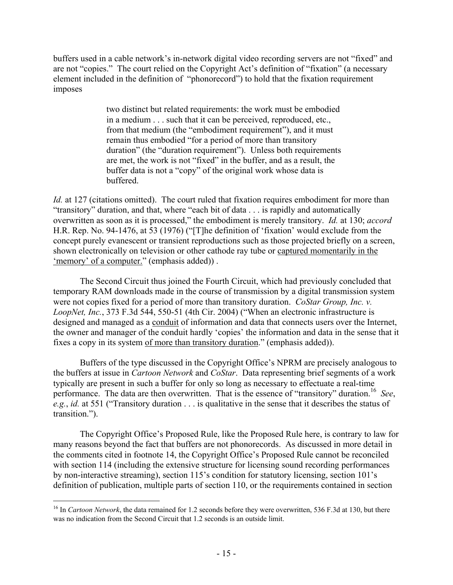buffers used in a cable network's in-network digital video recording servers are not "fixed" and are not "copies." The court relied on the Copyright Act's definition of "fixation" (a necessary element included in the definition of "phonorecord") to hold that the fixation requirement imposes

> two distinct but related requirements: the work must be embodied in a medium . . . such that it can be perceived, reproduced, etc., from that medium (the "embodiment requirement"), and it must remain thus embodied "for a period of more than transitory duration" (the "duration requirement"). Unless both requirements are met, the work is not "fixed" in the buffer, and as a result, the buffer data is not a "copy" of the original work whose data is buffered.

*Id.* at 127 (citations omitted). The court ruled that fixation requires embodiment for more than "transitory" duration, and that, where "each bit of data . . . is rapidly and automatically overwritten as soon as it is processed," the embodiment is merely transitory. *Id.* at 130; *accord*  H.R. Rep. No. 94-1476, at 53 (1976) ("[T]he definition of 'fixation' would exclude from the concept purely evanescent or transient reproductions such as those projected briefly on a screen, shown electronically on television or other cathode ray tube or captured momentarily in the 'memory' of a computer." (emphasis added)) .

 The Second Circuit thus joined the Fourth Circuit, which had previously concluded that temporary RAM downloads made in the course of transmission by a digital transmission system were not copies fixed for a period of more than transitory duration. *CoStar Group, Inc. v. LoopNet, Inc.*, 373 F.3d 544, 550-51 (4th Cir. 2004) ("When an electronic infrastructure is designed and managed as a conduit of information and data that connects users over the Internet, the owner and manager of the conduit hardly 'copies' the information and data in the sense that it fixes a copy in its system of more than transitory duration." (emphasis added)).

 Buffers of the type discussed in the Copyright Office's NPRM are precisely analogous to the buffers at issue in *Cartoon Network* and *CoStar*. Data representing brief segments of a work typically are present in such a buffer for only so long as necessary to effectuate a real-time performance. The data are then overwritten. That is the essence of "transitory" duration.16 *See*, *e.g.*, *id.* at 551 ("Transitory duration . . . is qualitative in the sense that it describes the status of transition.").

 The Copyright Office's Proposed Rule, like the Proposed Rule here, is contrary to law for many reasons beyond the fact that buffers are not phonorecords. As discussed in more detail in the comments cited in footnote 14, the Copyright Office's Proposed Rule cannot be reconciled with section 114 (including the extensive structure for licensing sound recording performances by non-interactive streaming), section 115's condition for statutory licensing, section 101's definition of publication, multiple parts of section 110, or the requirements contained in section

1

<sup>&</sup>lt;sup>16</sup> In *Cartoon Network*, the data remained for 1.2 seconds before they were overwritten, 536 F.3d at 130, but there was no indication from the Second Circuit that 1.2 seconds is an outside limit.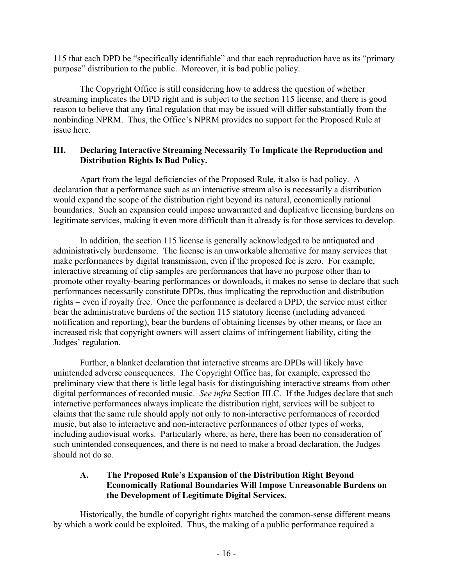115 that each DPD be "specifically identifiable" and that each reproduction have as its "primary purpose" distribution to the public. Moreover, it is bad public policy.

 The Copyright Office is still considering how to address the question of whether streaming implicates the DPD right and is subject to the section 115 license, and there is good reason to believe that any final regulation that may be issued will differ substantially from the nonbinding NPRM. Thus, the Office's NPRM provides no support for the Proposed Rule at issue here.

# **III. Declaring Interactive Streaming Necessarily To Implicate the Reproduction and Distribution Rights Is Bad Policy.**

 Apart from the legal deficiencies of the Proposed Rule, it also is bad policy. A declaration that a performance such as an interactive stream also is necessarily a distribution would expand the scope of the distribution right beyond its natural, economically rational boundaries. Such an expansion could impose unwarranted and duplicative licensing burdens on legitimate services, making it even more difficult than it already is for those services to develop.

 In addition, the section 115 license is generally acknowledged to be antiquated and administratively burdensome. The license is an unworkable alternative for many services that make performances by digital transmission, even if the proposed fee is zero. For example, interactive streaming of clip samples are performances that have no purpose other than to promote other royalty-bearing performances or downloads, it makes no sense to declare that such performances necessarily constitute DPDs, thus implicating the reproduction and distribution rights – even if royalty free. Once the performance is declared a DPD, the service must either bear the administrative burdens of the section 115 statutory license (including advanced notification and reporting), bear the burdens of obtaining licenses by other means, or face an increased risk that copyright owners will assert claims of infringement liability, citing the Judges' regulation.

 Further, a blanket declaration that interactive streams are DPDs will likely have unintended adverse consequences. The Copyright Office has, for example, expressed the preliminary view that there is little legal basis for distinguishing interactive streams from other digital performances of recorded music. *See infra* Section III.C. If the Judges declare that such interactive performances always implicate the distribution right, services will be subject to claims that the same rule should apply not only to non-interactive performances of recorded music, but also to interactive and non-interactive performances of other types of works, including audiovisual works. Particularly where, as here, there has been no consideration of such unintended consequences, and there is no need to make a broad declaration, the Judges should not do so.

# **A. The Proposed Rule's Expansion of the Distribution Right Beyond Economically Rational Boundaries Will Impose Unreasonable Burdens on the Development of Legitimate Digital Services.**

 Historically, the bundle of copyright rights matched the common-sense different means by which a work could be exploited. Thus, the making of a public performance required a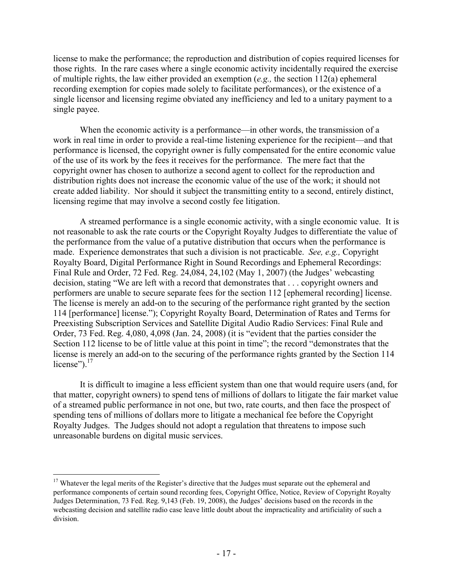license to make the performance; the reproduction and distribution of copies required licenses for those rights. In the rare cases where a single economic activity incidentally required the exercise of multiple rights, the law either provided an exemption (*e.g.,* the section 112(a) ephemeral recording exemption for copies made solely to facilitate performances), or the existence of a single licensor and licensing regime obviated any inefficiency and led to a unitary payment to a single payee.

When the economic activity is a performance—in other words, the transmission of a work in real time in order to provide a real-time listening experience for the recipient—and that performance is licensed, the copyright owner is fully compensated for the entire economic value of the use of its work by the fees it receives for the performance. The mere fact that the copyright owner has chosen to authorize a second agent to collect for the reproduction and distribution rights does not increase the economic value of the use of the work; it should not create added liability. Nor should it subject the transmitting entity to a second, entirely distinct, licensing regime that may involve a second costly fee litigation.

 A streamed performance is a single economic activity, with a single economic value. It is not reasonable to ask the rate courts or the Copyright Royalty Judges to differentiate the value of the performance from the value of a putative distribution that occurs when the performance is made. Experience demonstrates that such a division is not practicable. *See, e.g.,* Copyright Royalty Board, Digital Performance Right in Sound Recordings and Ephemeral Recordings: Final Rule and Order, 72 Fed. Reg. 24,084, 24,102 (May 1, 2007) (the Judges' webcasting decision, stating "We are left with a record that demonstrates that . . . copyright owners and performers are unable to secure separate fees for the section 112 [ephemeral recording] license. The license is merely an add-on to the securing of the performance right granted by the section 114 [performance] license."); Copyright Royalty Board, Determination of Rates and Terms for Preexisting Subscription Services and Satellite Digital Audio Radio Services: Final Rule and Order, 73 Fed. Reg. 4,080, 4,098 (Jan. 24, 2008) (it is "evident that the parties consider the Section 112 license to be of little value at this point in time"; the record "demonstrates that the license is merely an add-on to the securing of the performance rights granted by the Section 114 license"). $17$ 

 It is difficult to imagine a less efficient system than one that would require users (and, for that matter, copyright owners) to spend tens of millions of dollars to litigate the fair market value of a streamed public performance in not one, but two, rate courts, and then face the prospect of spending tens of millions of dollars more to litigate a mechanical fee before the Copyright Royalty Judges. The Judges should not adopt a regulation that threatens to impose such unreasonable burdens on digital music services.

1

<sup>&</sup>lt;sup>17</sup> Whatever the legal merits of the Register's directive that the Judges must separate out the ephemeral and performance components of certain sound recording fees, Copyright Office, Notice, Review of Copyright Royalty Judges Determination, 73 Fed. Reg. 9,143 (Feb. 19, 2008), the Judges' decisions based on the records in the webcasting decision and satellite radio case leave little doubt about the impracticality and artificiality of such a division.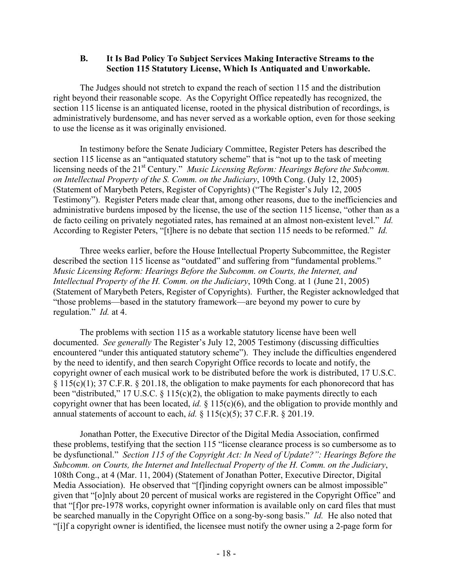## **B. It Is Bad Policy To Subject Services Making Interactive Streams to the Section 115 Statutory License, Which Is Antiquated and Unworkable.**

 The Judges should not stretch to expand the reach of section 115 and the distribution right beyond their reasonable scope. As the Copyright Office repeatedly has recognized, the section 115 license is an antiquated license, rooted in the physical distribution of recordings, is administratively burdensome, and has never served as a workable option, even for those seeking to use the license as it was originally envisioned.

 In testimony before the Senate Judiciary Committee, Register Peters has described the section 115 license as an "antiquated statutory scheme" that is "not up to the task of meeting licensing needs of the 21<sup>st</sup> Century." *Music Licensing Reform: Hearings Before the Subcomm. on Intellectual Property of the S. Comm. on the Judiciary*, 109th Cong. (July 12, 2005) (Statement of Marybeth Peters, Register of Copyrights) ("The Register's July 12, 2005 Testimony"). Register Peters made clear that, among other reasons, due to the inefficiencies and administrative burdens imposed by the license, the use of the section 115 license, "other than as a de facto ceiling on privately negotiated rates, has remained at an almost non-existent level." *Id.*  According to Register Peters, "[t]here is no debate that section 115 needs to be reformed." *Id.*

 Three weeks earlier, before the House Intellectual Property Subcommittee, the Register described the section 115 license as "outdated" and suffering from "fundamental problems." *Music Licensing Reform: Hearings Before the Subcomm. on Courts, the Internet, and Intellectual Property of the H. Comm. on the Judiciary*, 109th Cong. at 1 (June 21, 2005) (Statement of Marybeth Peters, Register of Copyrights). Further, the Register acknowledged that "those problems—based in the statutory framework—are beyond my power to cure by regulation." *Id.* at 4.

 The problems with section 115 as a workable statutory license have been well documented. *See generally* The Register's July 12, 2005 Testimony (discussing difficulties encountered "under this antiquated statutory scheme"). They include the difficulties engendered by the need to identify, and then search Copyright Office records to locate and notify, the copyright owner of each musical work to be distributed before the work is distributed, 17 U.S.C.  $§ 115(c)(1); 37 C.F.R. § 201.18, the obligation to make payments for each phonorecord that has$ been "distributed," 17 U.S.C. § 115(c)(2), the obligation to make payments directly to each copyright owner that has been located, *id.* § 115(c)(6), and the obligation to provide monthly and annual statements of account to each, *id.* § 115(c)(5); 37 C.F.R. § 201.19.

 Jonathan Potter, the Executive Director of the Digital Media Association, confirmed these problems, testifying that the section 115 "license clearance process is so cumbersome as to be dysfunctional." *Section 115 of the Copyright Act: In Need of Update?": Hearings Before the Subcomm. on Courts, the Internet and Intellectual Property of the H. Comm. on the Judiciary*, 108th Cong., at 4 (Mar. 11, 2004) (Statement of Jonathan Potter, Executive Director, Digital Media Association). He observed that "[f]inding copyright owners can be almost impossible" given that "[o]nly about 20 percent of musical works are registered in the Copyright Office" and that "[f]or pre-1978 works, copyright owner information is available only on card files that must be searched manually in the Copyright Office on a song-by-song basis." *Id.* He also noted that "[i]f a copyright owner is identified, the licensee must notify the owner using a 2-page form for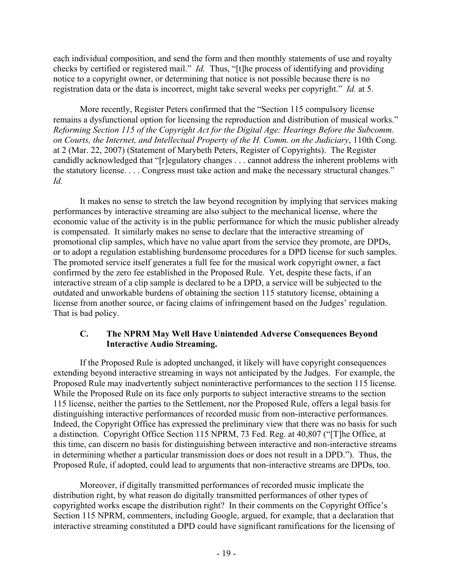each individual composition, and send the form and then monthly statements of use and royalty checks by certified or registered mail." *Id.* Thus, "[t]he process of identifying and providing notice to a copyright owner, or determining that notice is not possible because there is no registration data or the data is incorrect, might take several weeks per copyright." *Id.* at 5.

 More recently, Register Peters confirmed that the "Section 115 compulsory license remains a dysfunctional option for licensing the reproduction and distribution of musical works." *Reforming Section 115 of the Copyright Act for the Digital Age: Hearings Before the Subcomm. on Courts, the Internet, and Intellectual Property of the H. Comm. on the Judiciary*, 110th Cong. at 2 (Mar. 22, 2007) (Statement of Marybeth Peters, Register of Copyrights). The Register candidly acknowledged that "[r]egulatory changes . . . cannot address the inherent problems with the statutory license. . . . Congress must take action and make the necessary structural changes." *Id.* 

 It makes no sense to stretch the law beyond recognition by implying that services making performances by interactive streaming are also subject to the mechanical license, where the economic value of the activity is in the public performance for which the music publisher already is compensated. It similarly makes no sense to declare that the interactive streaming of promotional clip samples, which have no value apart from the service they promote, are DPDs, or to adopt a regulation establishing burdensome procedures for a DPD license for such samples. The promoted service itself generates a full fee for the musical work copyright owner, a fact confirmed by the zero fee established in the Proposed Rule. Yet, despite these facts, if an interactive stream of a clip sample is declared to be a DPD, a service will be subjected to the outdated and unworkable burdens of obtaining the section 115 statutory license, obtaining a license from another source, or facing claims of infringement based on the Judges' regulation. That is bad policy.

# **C. The NPRM May Well Have Unintended Adverse Consequences Beyond Interactive Audio Streaming.**

 If the Proposed Rule is adopted unchanged, it likely will have copyright consequences extending beyond interactive streaming in ways not anticipated by the Judges. For example, the Proposed Rule may inadvertently subject noninteractive performances to the section 115 license. While the Proposed Rule on its face only purports to subject interactive streams to the section 115 license, neither the parties to the Settlement, nor the Proposed Rule, offers a legal basis for distinguishing interactive performances of recorded music from non-interactive performances. Indeed, the Copyright Office has expressed the preliminary view that there was no basis for such a distinction. Copyright Office Section 115 NPRM, 73 Fed. Reg. at 40,807 ("[T]he Office, at this time, can discern no basis for distinguishing between interactive and non-interactive streams in determining whether a particular transmission does or does not result in a DPD."). Thus, the Proposed Rule, if adopted, could lead to arguments that non-interactive streams are DPDs, too.

 Moreover, if digitally transmitted performances of recorded music implicate the distribution right, by what reason do digitally transmitted performances of other types of copyrighted works escape the distribution right? In their comments on the Copyright Office's Section 115 NPRM, commenters, including Google, argued, for example, that a declaration that interactive streaming constituted a DPD could have significant ramifications for the licensing of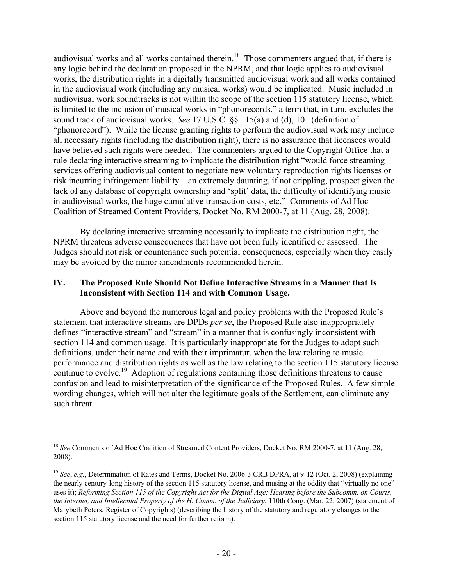audiovisual works and all works contained therein.<sup>18</sup> Those commenters argued that, if there is any logic behind the declaration proposed in the NPRM, and that logic applies to audiovisual works, the distribution rights in a digitally transmitted audiovisual work and all works contained in the audiovisual work (including any musical works) would be implicated. Music included in audiovisual work soundtracks is not within the scope of the section 115 statutory license, which is limited to the inclusion of musical works in "phonorecords," a term that, in turn, excludes the sound track of audiovisual works. *See* 17 U.S.C. §§ 115(a) and (d), 101 (definition of "phonorecord"). While the license granting rights to perform the audiovisual work may include all necessary rights (including the distribution right), there is no assurance that licensees would have believed such rights were needed. The commenters argued to the Copyright Office that a rule declaring interactive streaming to implicate the distribution right "would force streaming services offering audiovisual content to negotiate new voluntary reproduction rights licenses or risk incurring infringement liability—an extremely daunting, if not crippling, prospect given the lack of any database of copyright ownership and 'split' data, the difficulty of identifying music in audiovisual works, the huge cumulative transaction costs, etc." Comments of Ad Hoc Coalition of Streamed Content Providers, Docket No. RM 2000-7, at 11 (Aug. 28, 2008).

 By declaring interactive streaming necessarily to implicate the distribution right, the NPRM threatens adverse consequences that have not been fully identified or assessed. The Judges should not risk or countenance such potential consequences, especially when they easily may be avoided by the minor amendments recommended herein.

## **IV. The Proposed Rule Should Not Define Interactive Streams in a Manner that Is Inconsistent with Section 114 and with Common Usage.**

 Above and beyond the numerous legal and policy problems with the Proposed Rule's statement that interactive streams are DPDs *per se*, the Proposed Rule also inappropriately defines "interactive stream" and "stream" in a manner that is confusingly inconsistent with section 114 and common usage. It is particularly inappropriate for the Judges to adopt such definitions, under their name and with their imprimatur, when the law relating to music performance and distribution rights as well as the law relating to the section 115 statutory license continue to evolve.<sup>19</sup> Adoption of regulations containing those definitions threatens to cause confusion and lead to misinterpretation of the significance of the Proposed Rules. A few simple wording changes, which will not alter the legitimate goals of the Settlement, can eliminate any such threat.

<sup>&</sup>lt;sup>18</sup> See Comments of Ad Hoc Coalition of Streamed Content Providers, Docket No. RM 2000-7, at 11 (Aug. 28, 2008).

<sup>19</sup> *See*, *e.g.*, Determination of Rates and Terms, Docket No. 2006-3 CRB DPRA, at 9-12 (Oct. 2, 2008) (explaining the nearly century-long history of the section 115 statutory license, and musing at the oddity that "virtually no one" uses it); *Reforming Section 115 of the Copyright Act for the Digital Age: Hearing before the Subcomm. on Courts, the Internet, and Intellectual Property of the H. Comm. of the Judiciary*, 110th Cong. (Mar. 22, 2007) (statement of Marybeth Peters, Register of Copyrights) (describing the history of the statutory and regulatory changes to the section 115 statutory license and the need for further reform).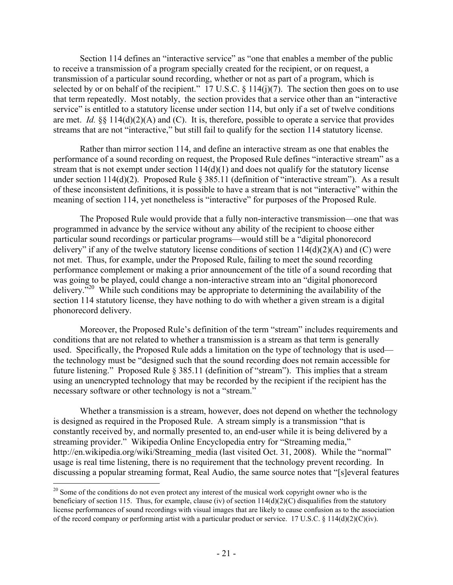Section 114 defines an "interactive service" as "one that enables a member of the public to receive a transmission of a program specially created for the recipient, or on request, a transmission of a particular sound recording, whether or not as part of a program, which is selected by or on behalf of the recipient." 17 U.S.C.  $\S$  114(j)(7). The section then goes on to use that term repeatedly. Most notably, the section provides that a service other than an "interactive service" is entitled to a statutory license under section 114, but only if a set of twelve conditions are met. *Id.* §§ 114(d)(2)(A) and (C). It is, therefore, possible to operate a service that provides streams that are not "interactive," but still fail to qualify for the section 114 statutory license.

 Rather than mirror section 114, and define an interactive stream as one that enables the performance of a sound recording on request, the Proposed Rule defines "interactive stream" as a stream that is not exempt under section  $114(d)(1)$  and does not qualify for the statutory license under section 114(d)(2). Proposed Rule § 385.11 (definition of "interactive stream"). As a result of these inconsistent definitions, it is possible to have a stream that is not "interactive" within the meaning of section 114, yet nonetheless is "interactive" for purposes of the Proposed Rule.

 The Proposed Rule would provide that a fully non-interactive transmission—one that was programmed in advance by the service without any ability of the recipient to choose either particular sound recordings or particular programs—would still be a "digital phonorecord delivery" if any of the twelve statutory license conditions of section  $114(d)(2)(A)$  and (C) were not met. Thus, for example, under the Proposed Rule, failing to meet the sound recording performance complement or making a prior announcement of the title of a sound recording that was going to be played, could change a non-interactive stream into an "digital phonorecord delivery.<sup>520</sup> While such conditions may be appropriate to determining the availability of the section 114 statutory license, they have nothing to do with whether a given stream is a digital phonorecord delivery.

 Moreover, the Proposed Rule's definition of the term "stream" includes requirements and conditions that are not related to whether a transmission is a stream as that term is generally used. Specifically, the Proposed Rule adds a limitation on the type of technology that is used the technology must be "designed such that the sound recording does not remain accessible for future listening." Proposed Rule § 385.11 (definition of "stream"). This implies that a stream using an unencrypted technology that may be recorded by the recipient if the recipient has the necessary software or other technology is not a "stream."

 Whether a transmission is a stream, however, does not depend on whether the technology is designed as required in the Proposed Rule. A stream simply is a transmission "that is constantly received by, and normally presented to, an end-user while it is being delivered by a streaming provider." Wikipedia Online Encyclopedia entry for "Streaming media," http://en.wikipedia.org/wiki/Streaming\_media (last visited Oct. 31, 2008). While the "normal" usage is real time listening, there is no requirement that the technology prevent recording. In discussing a popular streaming format, Real Audio, the same source notes that "[s]everal features

<sup>&</sup>lt;sup>20</sup> Some of the conditions do not even protect any interest of the musical work copyright owner who is the beneficiary of section 115. Thus, for example, clause (iv) of section 114(d)(2)(C) disqualifies from the statutory license performances of sound recordings with visual images that are likely to cause confusion as to the association of the record company or performing artist with a particular product or service. 17 U.S.C. § 114(d)(2)(C)(iv).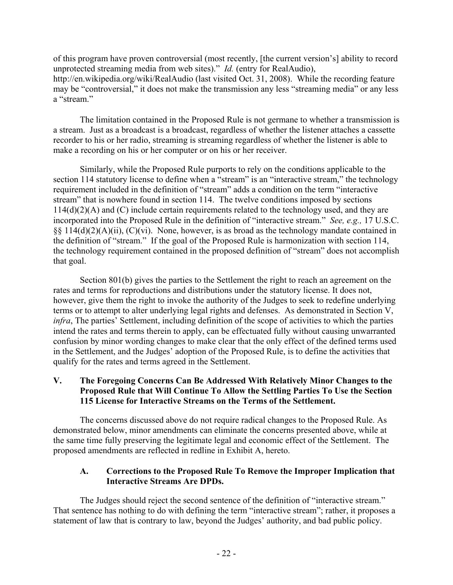of this program have proven controversial (most recently, [the current version's] ability to record unprotected streaming media from web sites)." *Id.* (entry for RealAudio), http://en.wikipedia.org/wiki/RealAudio (last visited Oct. 31, 2008). While the recording feature may be "controversial," it does not make the transmission any less "streaming media" or any less a "stream."

 The limitation contained in the Proposed Rule is not germane to whether a transmission is a stream. Just as a broadcast is a broadcast, regardless of whether the listener attaches a cassette recorder to his or her radio, streaming is streaming regardless of whether the listener is able to make a recording on his or her computer or on his or her receiver.

 Similarly, while the Proposed Rule purports to rely on the conditions applicable to the section 114 statutory license to define when a "stream" is an "interactive stream," the technology requirement included in the definition of "stream" adds a condition on the term "interactive stream" that is nowhere found in section 114. The twelve conditions imposed by sections 114(d)(2)(A) and (C) include certain requirements related to the technology used, and they are incorporated into the Proposed Rule in the definition of "interactive stream." *See, e.g.,* 17 U.S.C. §§ 114(d)(2)(A)(ii), (C)(vi). None, however, is as broad as the technology mandate contained in the definition of "stream." If the goal of the Proposed Rule is harmonization with section 114, the technology requirement contained in the proposed definition of "stream" does not accomplish that goal.

 Section 801(b) gives the parties to the Settlement the right to reach an agreement on the rates and terms for reproductions and distributions under the statutory license. It does not, however, give them the right to invoke the authority of the Judges to seek to redefine underlying terms or to attempt to alter underlying legal rights and defenses. As demonstrated in Section V, *infra*, The parties' Settlement, including definition of the scope of activities to which the parties intend the rates and terms therein to apply, can be effectuated fully without causing unwarranted confusion by minor wording changes to make clear that the only effect of the defined terms used in the Settlement, and the Judges' adoption of the Proposed Rule, is to define the activities that qualify for the rates and terms agreed in the Settlement.

# **V. The Foregoing Concerns Can Be Addressed With Relatively Minor Changes to the Proposed Rule that Will Continue To Allow the Settling Parties To Use the Section 115 License for Interactive Streams on the Terms of the Settlement.**

 The concerns discussed above do not require radical changes to the Proposed Rule. As demonstrated below, minor amendments can eliminate the concerns presented above, while at the same time fully preserving the legitimate legal and economic effect of the Settlement. The proposed amendments are reflected in redline in Exhibit A, hereto.

# **A. Corrections to the Proposed Rule To Remove the Improper Implication that Interactive Streams Are DPDs.**

 The Judges should reject the second sentence of the definition of "interactive stream." That sentence has nothing to do with defining the term "interactive stream"; rather, it proposes a statement of law that is contrary to law, beyond the Judges' authority, and bad public policy.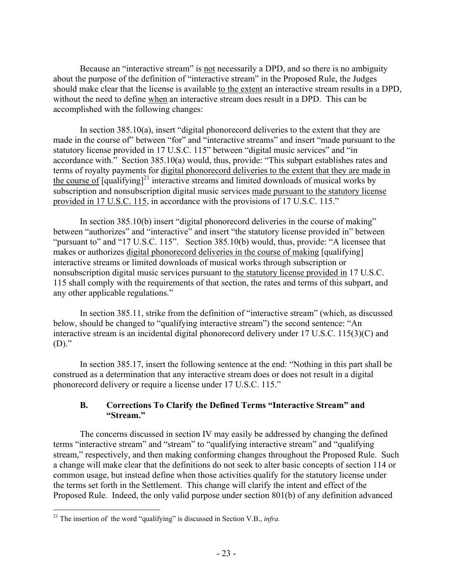Because an "interactive stream" is not necessarily a DPD, and so there is no ambiguity about the purpose of the definition of "interactive stream" in the Proposed Rule, the Judges should make clear that the license is available to the extent an interactive stream results in a DPD, without the need to define when an interactive stream does result in a DPD. This can be accomplished with the following changes:

 In section 385.10(a), insert "digital phonorecord deliveries to the extent that they are made in the course of" between "for" and "interactive streams" and insert "made pursuant to the statutory license provided in 17 U.S.C. 115" between "digital music services" and "in accordance with." Section 385.10(a) would, thus, provide: "This subpart establishes rates and terms of royalty payments for digital phonorecord deliveries to the extent that they are made in the course of  $\left[\frac{q \cdot q}{q \cdot q}\right]^{21}$  interactive streams and limited downloads of musical works by subscription and nonsubscription digital music services made pursuant to the statutory license provided in 17 U.S.C. 115, in accordance with the provisions of 17 U.S.C. 115."

 In section 385.10(b) insert "digital phonorecord deliveries in the course of making" between "authorizes" and "interactive" and insert "the statutory license provided in" between "pursuant to" and "17 U.S.C. 115". Section 385.10(b) would, thus, provide: "A licensee that makes or authorizes digital phonorecord deliveries in the course of making [qualifying] interactive streams or limited downloads of musical works through subscription or nonsubscription digital music services pursuant to the statutory license provided in 17 U.S.C. 115 shall comply with the requirements of that section, the rates and terms of this subpart, and any other applicable regulations."

 In section 385.11, strike from the definition of "interactive stream" (which, as discussed below, should be changed to "qualifying interactive stream") the second sentence: "An interactive stream is an incidental digital phonorecord delivery under 17 U.S.C. 115(3)(C) and  $(D)$ ."

 In section 385.17, insert the following sentence at the end: "Nothing in this part shall be construed as a determination that any interactive stream does or does not result in a digital phonorecord delivery or require a license under 17 U.S.C. 115."

# **B. Corrections To Clarify the Defined Terms "Interactive Stream" and "Stream."**

 The concerns discussed in section IV may easily be addressed by changing the defined terms "interactive stream" and "stream" to "qualifying interactive stream" and "qualifying stream," respectively, and then making conforming changes throughout the Proposed Rule. Such a change will make clear that the definitions do not seek to alter basic concepts of section 114 or common usage, but instead define when those activities qualify for the statutory license under the terms set forth in the Settlement. This change will clarify the intent and effect of the Proposed Rule. Indeed, the only valid purpose under section 801(b) of any definition advanced

1

<sup>&</sup>lt;sup>21</sup> The insertion of the word "qualifying" is discussed in Section V.B., *infra.*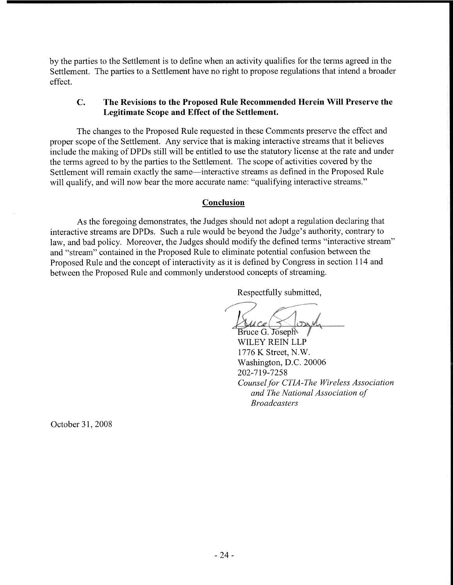by the parties to the Settlement is to define when an activity qualifies for the terms agreed in the Settlement. The parties to a Settlement have no right to propose regulations that intend a broader effect.

#### The Revisions to the Proposed Rule Recommended Herein Will Preserve the  $C_{\bullet}$ Legitimate Scope and Effect of the Settlement.

The changes to the Proposed Rule requested in these Comments preserve the effect and proper scope of the Settlement. Any service that is making interactive streams that it believes include the making of DPDs still will be entitled to use the statutory license at the rate and under the terms agreed to by the parties to the Settlement. The scope of activities covered by the Settlement will remain exactly the same—interactive streams as defined in the Proposed Rule will qualify, and will now bear the more accurate name: "qualifying interactive streams."

#### Conclusion

As the foregoing demonstrates, the Judges should not adopt a regulation declaring that interactive streams are DPDs. Such a rule would be beyond the Judge's authority, contrary to law, and bad policy. Moreover, the Judges should modify the defined terms "interactive stream" and "stream" contained in the Proposed Rule to eliminate potential confusion between the Proposed Rule and the concept of interactivity as it is defined by Congress in section 114 and between the Proposed Rule and commonly understood concepts of streaming.

Respectfully submitted,

Bruce G. Joseph WILEY REIN LLP 1776 K Street, N.W. Washington, D.C. 20006 202-719-7258 Counsel for CTIA-The Wireless Association and The National Association of **Broadcasters** 

October 31, 2008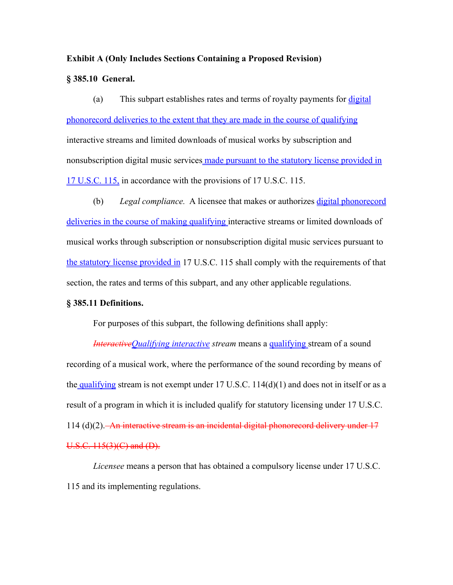#### **Exhibit A (Only Includes Sections Containing a Proposed Revision)**

#### **§ 385.10 General.**

 (a) This subpart establishes rates and terms of royalty payments for digital phonorecord deliveries to the extent that they are made in the course of qualifying interactive streams and limited downloads of musical works by subscription and nonsubscription digital music services made pursuant to the statutory license provided in 17 U.S.C. 115, in accordance with the provisions of 17 U.S.C. 115.

 (b) *Legal compliance.* A licensee that makes or authorizes digital phonorecord deliveries in the course of making qualifying interactive streams or limited downloads of musical works through subscription or nonsubscription digital music services pursuant to the statutory license provided in 17 U.S.C. 115 shall comply with the requirements of that section, the rates and terms of this subpart, and any other applicable regulations.

#### **§ 385.11 Definitions.**

For purposes of this subpart, the following definitions shall apply:

*InteractiveQualifying interactive stream* means a qualifying stream of a sound recording of a musical work, where the performance of the sound recording by means of the qualifying stream is not exempt under  $17 \text{ U.S.C. } 114(d)(1)$  and does not in itself or as a result of a program in which it is included qualify for statutory licensing under 17 U.S.C. 114 (d)(2). An interactive stream is an incidental digital phonorecord delivery under 17  $U.S.C. 115(3)(C)$  and  $(D)$ .

*Licensee* means a person that has obtained a compulsory license under 17 U.S.C. 115 and its implementing regulations.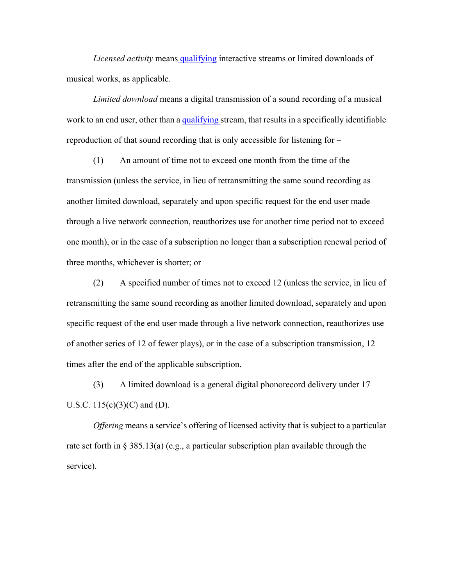*Licensed activity* means qualifying interactive streams or limited downloads of musical works, as applicable.

*Limited download* means a digital transmission of a sound recording of a musical work to an end user, other than a qualifying stream, that results in a specifically identifiable reproduction of that sound recording that is only accessible for listening for –

 (1) An amount of time not to exceed one month from the time of the transmission (unless the service, in lieu of retransmitting the same sound recording as another limited download, separately and upon specific request for the end user made through a live network connection, reauthorizes use for another time period not to exceed one month), or in the case of a subscription no longer than a subscription renewal period of three months, whichever is shorter; or

 (2) A specified number of times not to exceed 12 (unless the service, in lieu of retransmitting the same sound recording as another limited download, separately and upon specific request of the end user made through a live network connection, reauthorizes use of another series of 12 of fewer plays), or in the case of a subscription transmission, 12 times after the end of the applicable subscription.

 (3) A limited download is a general digital phonorecord delivery under 17 U.S.C.  $115(c)(3)(C)$  and (D).

*Offering* means a service's offering of licensed activity that is subject to a particular rate set forth in § 385.13(a) (e.g., a particular subscription plan available through the service).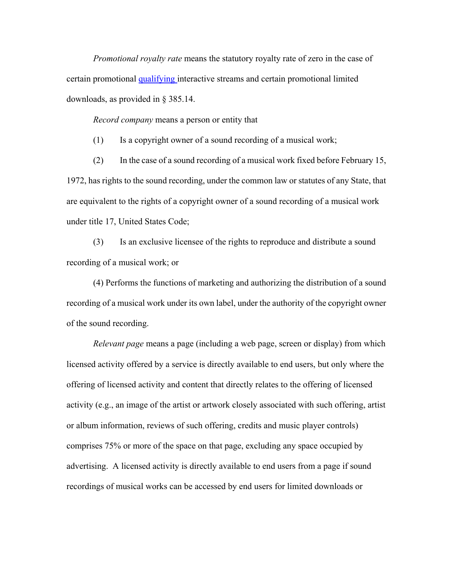*Promotional royalty rate* means the statutory royalty rate of zero in the case of certain promotional qualifying interactive streams and certain promotional limited downloads, as provided in § 385.14.

*Record company* means a person or entity that

(1) Is a copyright owner of a sound recording of a musical work;

 (2) In the case of a sound recording of a musical work fixed before February 15, 1972, has rights to the sound recording, under the common law or statutes of any State, that are equivalent to the rights of a copyright owner of a sound recording of a musical work under title 17, United States Code;

 (3) Is an exclusive licensee of the rights to reproduce and distribute a sound recording of a musical work; or

 (4) Performs the functions of marketing and authorizing the distribution of a sound recording of a musical work under its own label, under the authority of the copyright owner of the sound recording.

*Relevant page* means a page (including a web page, screen or display) from which licensed activity offered by a service is directly available to end users, but only where the offering of licensed activity and content that directly relates to the offering of licensed activity (e.g., an image of the artist or artwork closely associated with such offering, artist or album information, reviews of such offering, credits and music player controls) comprises 75% or more of the space on that page, excluding any space occupied by advertising. A licensed activity is directly available to end users from a page if sound recordings of musical works can be accessed by end users for limited downloads or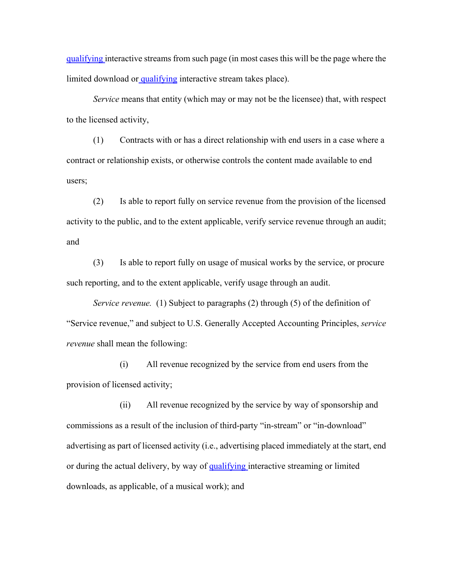qualifying interactive streams from such page (in most cases this will be the page where the limited download or qualifying interactive stream takes place).

*Service* means that entity (which may or may not be the licensee) that, with respect to the licensed activity,

 (1) Contracts with or has a direct relationship with end users in a case where a contract or relationship exists, or otherwise controls the content made available to end users;

 (2) Is able to report fully on service revenue from the provision of the licensed activity to the public, and to the extent applicable, verify service revenue through an audit; and

 (3) Is able to report fully on usage of musical works by the service, or procure such reporting, and to the extent applicable, verify usage through an audit.

*Service revenue.* (1) Subject to paragraphs (2) through (5) of the definition of "Service revenue," and subject to U.S. Generally Accepted Accounting Principles, *service revenue* shall mean the following:

 (i) All revenue recognized by the service from end users from the provision of licensed activity;

 (ii) All revenue recognized by the service by way of sponsorship and commissions as a result of the inclusion of third-party "in-stream" or "in-download" advertising as part of licensed activity (i.e., advertising placed immediately at the start, end or during the actual delivery, by way of qualifying interactive streaming or limited downloads, as applicable, of a musical work); and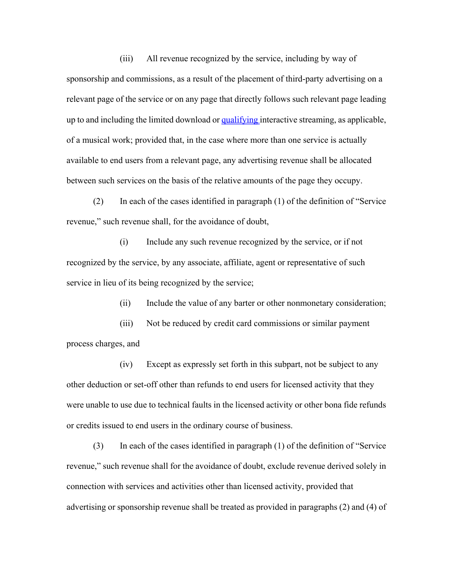(iii) All revenue recognized by the service, including by way of sponsorship and commissions, as a result of the placement of third-party advertising on a relevant page of the service or on any page that directly follows such relevant page leading up to and including the limited download or qualifying interactive streaming, as applicable, of a musical work; provided that, in the case where more than one service is actually available to end users from a relevant page, any advertising revenue shall be allocated between such services on the basis of the relative amounts of the page they occupy.

 (2) In each of the cases identified in paragraph (1) of the definition of "Service revenue," such revenue shall, for the avoidance of doubt,

 (i) Include any such revenue recognized by the service, or if not recognized by the service, by any associate, affiliate, agent or representative of such service in lieu of its being recognized by the service;

(ii) Include the value of any barter or other nonmonetary consideration;

 (iii) Not be reduced by credit card commissions or similar payment process charges, and

 (iv) Except as expressly set forth in this subpart, not be subject to any other deduction or set-off other than refunds to end users for licensed activity that they were unable to use due to technical faults in the licensed activity or other bona fide refunds or credits issued to end users in the ordinary course of business.

 (3) In each of the cases identified in paragraph (1) of the definition of "Service revenue," such revenue shall for the avoidance of doubt, exclude revenue derived solely in connection with services and activities other than licensed activity, provided that advertising or sponsorship revenue shall be treated as provided in paragraphs (2) and (4) of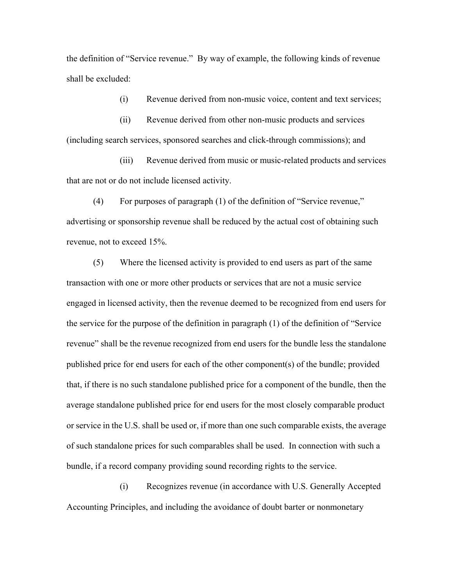the definition of "Service revenue." By way of example, the following kinds of revenue shall be excluded:

(i) Revenue derived from non-music voice, content and text services;

 (ii) Revenue derived from other non-music products and services (including search services, sponsored searches and click-through commissions); and

 (iii) Revenue derived from music or music-related products and services that are not or do not include licensed activity.

 (4) For purposes of paragraph (1) of the definition of "Service revenue," advertising or sponsorship revenue shall be reduced by the actual cost of obtaining such revenue, not to exceed 15%.

 (5) Where the licensed activity is provided to end users as part of the same transaction with one or more other products or services that are not a music service engaged in licensed activity, then the revenue deemed to be recognized from end users for the service for the purpose of the definition in paragraph (1) of the definition of "Service revenue" shall be the revenue recognized from end users for the bundle less the standalone published price for end users for each of the other component(s) of the bundle; provided that, if there is no such standalone published price for a component of the bundle, then the average standalone published price for end users for the most closely comparable product or service in the U.S. shall be used or, if more than one such comparable exists, the average of such standalone prices for such comparables shall be used. In connection with such a bundle, if a record company providing sound recording rights to the service.

 (i) Recognizes revenue (in accordance with U.S. Generally Accepted Accounting Principles, and including the avoidance of doubt barter or nonmonetary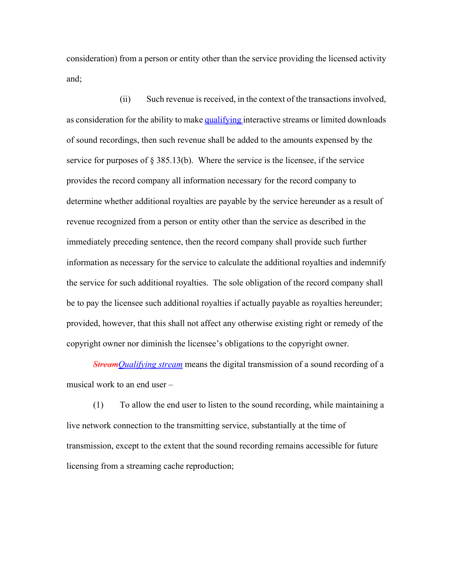consideration) from a person or entity other than the service providing the licensed activity and;

 (ii) Such revenue is received, in the context of the transactions involved, as consideration for the ability to make qualifying interactive streams or limited downloads of sound recordings, then such revenue shall be added to the amounts expensed by the service for purposes of  $\S 385.13(b)$ . Where the service is the licensee, if the service provides the record company all information necessary for the record company to determine whether additional royalties are payable by the service hereunder as a result of revenue recognized from a person or entity other than the service as described in the immediately preceding sentence, then the record company shall provide such further information as necessary for the service to calculate the additional royalties and indemnify the service for such additional royalties. The sole obligation of the record company shall be to pay the licensee such additional royalties if actually payable as royalties hereunder; provided, however, that this shall not affect any otherwise existing right or remedy of the copyright owner nor diminish the licensee's obligations to the copyright owner.

*StreamQualifying stream* means the digital transmission of a sound recording of a musical work to an end user –

 (1) To allow the end user to listen to the sound recording, while maintaining a live network connection to the transmitting service, substantially at the time of transmission, except to the extent that the sound recording remains accessible for future licensing from a streaming cache reproduction;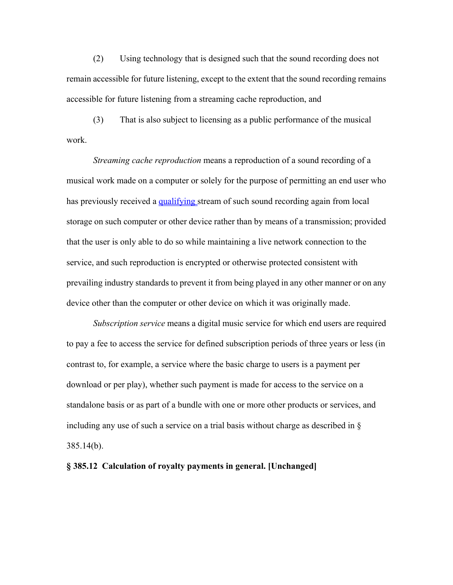(2) Using technology that is designed such that the sound recording does not remain accessible for future listening, except to the extent that the sound recording remains accessible for future listening from a streaming cache reproduction, and

 (3) That is also subject to licensing as a public performance of the musical work.

*Streaming cache reproduction* means a reproduction of a sound recording of a musical work made on a computer or solely for the purpose of permitting an end user who has previously received a qualifying stream of such sound recording again from local storage on such computer or other device rather than by means of a transmission; provided that the user is only able to do so while maintaining a live network connection to the service, and such reproduction is encrypted or otherwise protected consistent with prevailing industry standards to prevent it from being played in any other manner or on any device other than the computer or other device on which it was originally made.

*Subscription service* means a digital music service for which end users are required to pay a fee to access the service for defined subscription periods of three years or less (in contrast to, for example, a service where the basic charge to users is a payment per download or per play), whether such payment is made for access to the service on a standalone basis or as part of a bundle with one or more other products or services, and including any use of such a service on a trial basis without charge as described in § 385.14(b).

#### **§ 385.12 Calculation of royalty payments in general. [Unchanged]**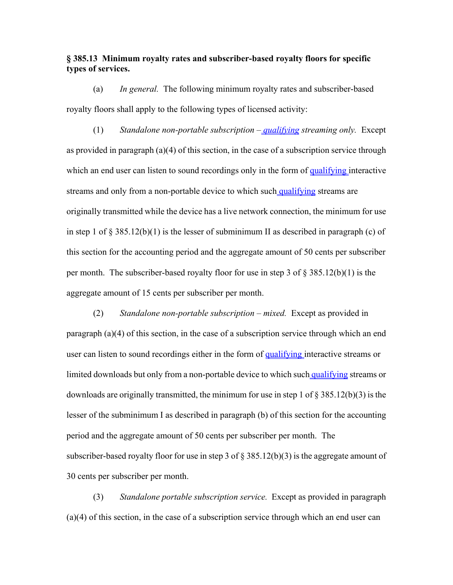### **§ 385.13 Minimum royalty rates and subscriber-based royalty floors for specific types of services.**

 (a) *In general.* The following minimum royalty rates and subscriber-based royalty floors shall apply to the following types of licensed activity:

 (1) *Standalone non-portable subscription – qualifying streaming only.* Except as provided in paragraph (a)(4) of this section, in the case of a subscription service through which an end user can listen to sound recordings only in the form of qualifying interactive streams and only from a non-portable device to which such qualifying streams are originally transmitted while the device has a live network connection, the minimum for use in step 1 of  $\S 385.12(b)(1)$  is the lesser of subminimum II as described in paragraph (c) of this section for the accounting period and the aggregate amount of 50 cents per subscriber per month. The subscriber-based royalty floor for use in step 3 of  $\S 385.12(b)(1)$  is the aggregate amount of 15 cents per subscriber per month.

 (2) *Standalone non-portable subscription – mixed.* Except as provided in paragraph (a)(4) of this section, in the case of a subscription service through which an end user can listen to sound recordings either in the form of qualifying interactive streams or limited downloads but only from a non-portable device to which such qualifying streams or downloads are originally transmitted, the minimum for use in step 1 of § 385.12(b)(3) is the lesser of the subminimum I as described in paragraph (b) of this section for the accounting period and the aggregate amount of 50 cents per subscriber per month. The subscriber-based royalty floor for use in step 3 of  $\S 385.12(b)(3)$  is the aggregate amount of 30 cents per subscriber per month.

 (3) *Standalone portable subscription service.* Except as provided in paragraph (a)(4) of this section, in the case of a subscription service through which an end user can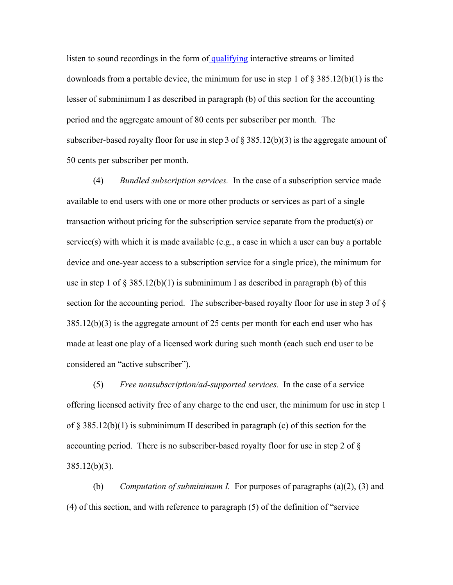listen to sound recordings in the form of qualifying interactive streams or limited downloads from a portable device, the minimum for use in step 1 of § 385.12(b)(1) is the lesser of subminimum I as described in paragraph (b) of this section for the accounting period and the aggregate amount of 80 cents per subscriber per month. The subscriber-based royalty floor for use in step 3 of  $\S 385.12(b)(3)$  is the aggregate amount of 50 cents per subscriber per month.

 (4) *Bundled subscription services.* In the case of a subscription service made available to end users with one or more other products or services as part of a single transaction without pricing for the subscription service separate from the product(s) or service(s) with which it is made available (e.g., a case in which a user can buy a portable device and one-year access to a subscription service for a single price), the minimum for use in step 1 of  $\S 385.12(b)(1)$  is subminimum I as described in paragraph (b) of this section for the accounting period. The subscriber-based royalty floor for use in step 3 of § 385.12(b)(3) is the aggregate amount of 25 cents per month for each end user who has made at least one play of a licensed work during such month (each such end user to be considered an "active subscriber").

 (5) *Free nonsubscription/ad-supported services.* In the case of a service offering licensed activity free of any charge to the end user, the minimum for use in step 1 of § 385.12(b)(1) is subminimum II described in paragraph (c) of this section for the accounting period. There is no subscriber-based royalty floor for use in step 2 of § 385.12(b)(3).

 (b) *Computation of subminimum I.* For purposes of paragraphs (a)(2), (3) and (4) of this section, and with reference to paragraph (5) of the definition of "service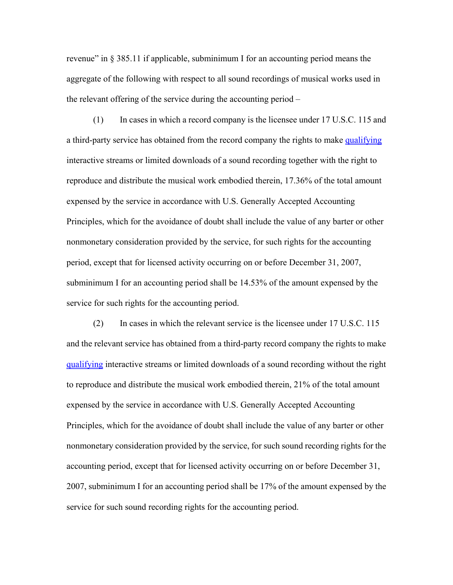revenue" in § 385.11 if applicable, subminimum I for an accounting period means the aggregate of the following with respect to all sound recordings of musical works used in the relevant offering of the service during the accounting period –

 (1) In cases in which a record company is the licensee under 17 U.S.C. 115 and a third-party service has obtained from the record company the rights to make qualifying interactive streams or limited downloads of a sound recording together with the right to reproduce and distribute the musical work embodied therein, 17.36% of the total amount expensed by the service in accordance with U.S. Generally Accepted Accounting Principles, which for the avoidance of doubt shall include the value of any barter or other nonmonetary consideration provided by the service, for such rights for the accounting period, except that for licensed activity occurring on or before December 31, 2007, subminimum I for an accounting period shall be 14.53% of the amount expensed by the service for such rights for the accounting period.

 (2) In cases in which the relevant service is the licensee under 17 U.S.C. 115 and the relevant service has obtained from a third-party record company the rights to make qualifying interactive streams or limited downloads of a sound recording without the right to reproduce and distribute the musical work embodied therein, 21% of the total amount expensed by the service in accordance with U.S. Generally Accepted Accounting Principles, which for the avoidance of doubt shall include the value of any barter or other nonmonetary consideration provided by the service, for such sound recording rights for the accounting period, except that for licensed activity occurring on or before December 31, 2007, subminimum I for an accounting period shall be 17% of the amount expensed by the service for such sound recording rights for the accounting period.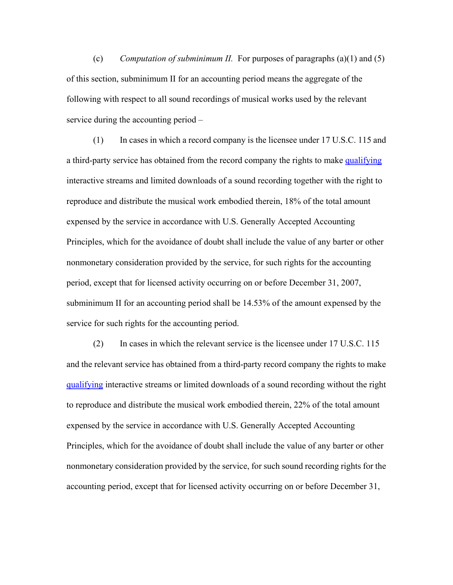(c) *Computation of subminimum II.* For purposes of paragraphs (a)(1) and (5) of this section, subminimum II for an accounting period means the aggregate of the following with respect to all sound recordings of musical works used by the relevant service during the accounting period –

 (1) In cases in which a record company is the licensee under 17 U.S.C. 115 and a third-party service has obtained from the record company the rights to make qualifying interactive streams and limited downloads of a sound recording together with the right to reproduce and distribute the musical work embodied therein, 18% of the total amount expensed by the service in accordance with U.S. Generally Accepted Accounting Principles, which for the avoidance of doubt shall include the value of any barter or other nonmonetary consideration provided by the service, for such rights for the accounting period, except that for licensed activity occurring on or before December 31, 2007, subminimum II for an accounting period shall be 14.53% of the amount expensed by the service for such rights for the accounting period.

 (2) In cases in which the relevant service is the licensee under 17 U.S.C. 115 and the relevant service has obtained from a third-party record company the rights to make qualifying interactive streams or limited downloads of a sound recording without the right to reproduce and distribute the musical work embodied therein, 22% of the total amount expensed by the service in accordance with U.S. Generally Accepted Accounting Principles, which for the avoidance of doubt shall include the value of any barter or other nonmonetary consideration provided by the service, for such sound recording rights for the accounting period, except that for licensed activity occurring on or before December 31,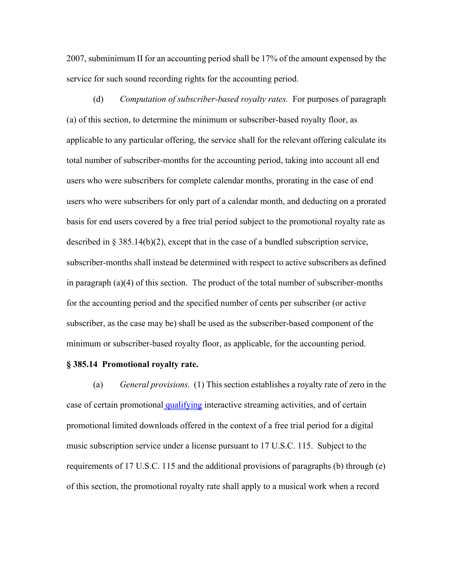2007, subminimum II for an accounting period shall be 17% of the amount expensed by the service for such sound recording rights for the accounting period.

 (d) *Computation of subscriber-based royalty rates.* For purposes of paragraph (a) of this section, to determine the minimum or subscriber-based royalty floor, as applicable to any particular offering, the service shall for the relevant offering calculate its total number of subscriber-months for the accounting period, taking into account all end users who were subscribers for complete calendar months, prorating in the case of end users who were subscribers for only part of a calendar month, and deducting on a prorated basis for end users covered by a free trial period subject to the promotional royalty rate as described in  $\S 385.14(b)(2)$ , except that in the case of a bundled subscription service, subscriber-months shall instead be determined with respect to active subscribers as defined in paragraph (a)(4) of this section. The product of the total number of subscriber-months for the accounting period and the specified number of cents per subscriber (or active subscriber, as the case may be) shall be used as the subscriber-based component of the minimum or subscriber-based royalty floor, as applicable, for the accounting period.

#### **§ 385.14 Promotional royalty rate.**

 (a) *General provisions.* (1) This section establishes a royalty rate of zero in the case of certain promotional qualifying interactive streaming activities, and of certain promotional limited downloads offered in the context of a free trial period for a digital music subscription service under a license pursuant to 17 U.S.C. 115. Subject to the requirements of 17 U.S.C. 115 and the additional provisions of paragraphs (b) through (e) of this section, the promotional royalty rate shall apply to a musical work when a record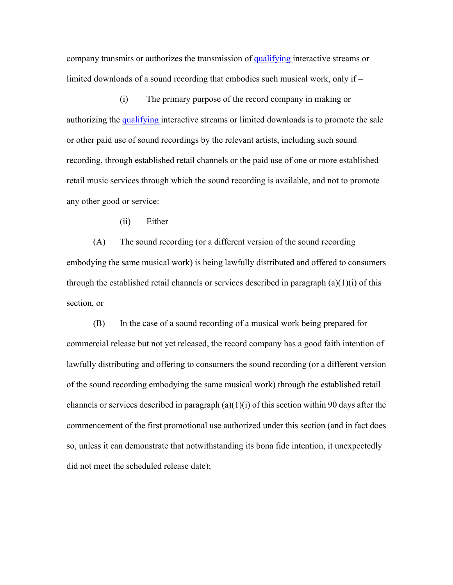company transmits or authorizes the transmission of qualifying interactive streams or limited downloads of a sound recording that embodies such musical work, only if –

 (i) The primary purpose of the record company in making or authorizing the qualifying interactive streams or limited downloads is to promote the sale or other paid use of sound recordings by the relevant artists, including such sound recording, through established retail channels or the paid use of one or more established retail music services through which the sound recording is available, and not to promote any other good or service:

(ii) Either –

 (A) The sound recording (or a different version of the sound recording embodying the same musical work) is being lawfully distributed and offered to consumers through the established retail channels or services described in paragraph (a)(1)(i) of this section, or

 (B) In the case of a sound recording of a musical work being prepared for commercial release but not yet released, the record company has a good faith intention of lawfully distributing and offering to consumers the sound recording (or a different version of the sound recording embodying the same musical work) through the established retail channels or services described in paragraph  $(a)(1)(i)$  of this section within 90 days after the commencement of the first promotional use authorized under this section (and in fact does so, unless it can demonstrate that notwithstanding its bona fide intention, it unexpectedly did not meet the scheduled release date);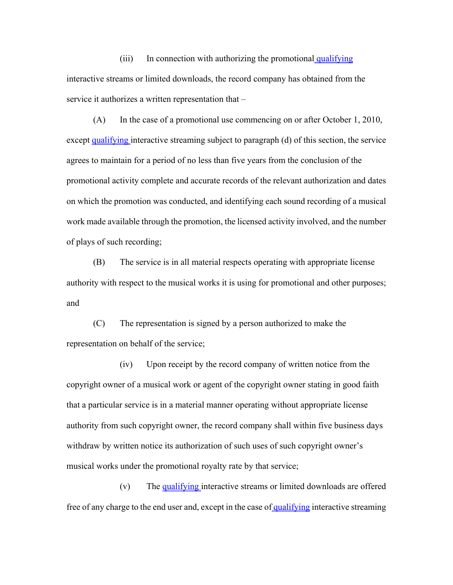$(iii)$  In connection with authorizing the promotional qualifying interactive streams or limited downloads, the record company has obtained from the service it authorizes a written representation that –

 (A) In the case of a promotional use commencing on or after October 1, 2010, except qualifying interactive streaming subject to paragraph (d) of this section, the service agrees to maintain for a period of no less than five years from the conclusion of the promotional activity complete and accurate records of the relevant authorization and dates on which the promotion was conducted, and identifying each sound recording of a musical work made available through the promotion, the licensed activity involved, and the number of plays of such recording;

 (B) The service is in all material respects operating with appropriate license authority with respect to the musical works it is using for promotional and other purposes; and

 (C) The representation is signed by a person authorized to make the representation on behalf of the service;

 (iv) Upon receipt by the record company of written notice from the copyright owner of a musical work or agent of the copyright owner stating in good faith that a particular service is in a material manner operating without appropriate license authority from such copyright owner, the record company shall within five business days withdraw by written notice its authorization of such uses of such copyright owner's musical works under the promotional royalty rate by that service;

 (v) The qualifying interactive streams or limited downloads are offered free of any charge to the end user and, except in the case of qualifying interactive streaming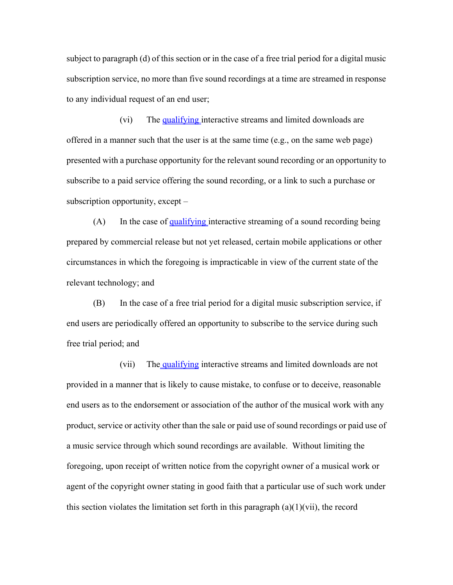subject to paragraph (d) of this section or in the case of a free trial period for a digital music subscription service, no more than five sound recordings at a time are streamed in response to any individual request of an end user;

 (vi) The qualifying interactive streams and limited downloads are offered in a manner such that the user is at the same time  $(e.g., on the same web page)$ presented with a purchase opportunity for the relevant sound recording or an opportunity to subscribe to a paid service offering the sound recording, or a link to such a purchase or subscription opportunity, except –

 $(A)$  In the case of qualifying interactive streaming of a sound recording being prepared by commercial release but not yet released, certain mobile applications or other circumstances in which the foregoing is impracticable in view of the current state of the relevant technology; and

 (B) In the case of a free trial period for a digital music subscription service, if end users are periodically offered an opportunity to subscribe to the service during such free trial period; and

(vii) The qualifying interactive streams and limited downloads are not provided in a manner that is likely to cause mistake, to confuse or to deceive, reasonable end users as to the endorsement or association of the author of the musical work with any product, service or activity other than the sale or paid use of sound recordings or paid use of a music service through which sound recordings are available. Without limiting the foregoing, upon receipt of written notice from the copyright owner of a musical work or agent of the copyright owner stating in good faith that a particular use of such work under this section violates the limitation set forth in this paragraph  $(a)(1)(vi)$ , the record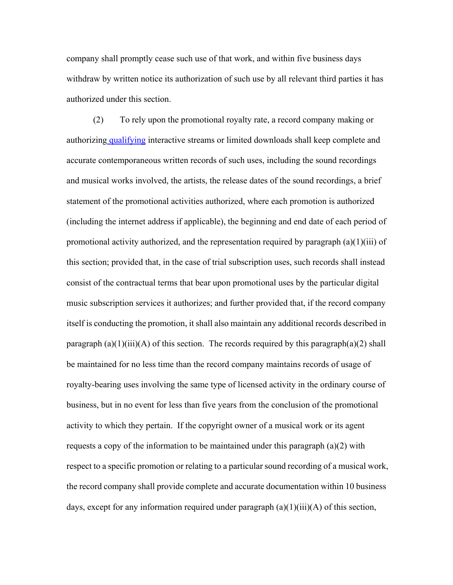company shall promptly cease such use of that work, and within five business days withdraw by written notice its authorization of such use by all relevant third parties it has authorized under this section.

 (2) To rely upon the promotional royalty rate, a record company making or authorizing qualifying interactive streams or limited downloads shall keep complete and accurate contemporaneous written records of such uses, including the sound recordings and musical works involved, the artists, the release dates of the sound recordings, a brief statement of the promotional activities authorized, where each promotion is authorized (including the internet address if applicable), the beginning and end date of each period of promotional activity authorized, and the representation required by paragraph  $(a)(1)(iii)$  of this section; provided that, in the case of trial subscription uses, such records shall instead consist of the contractual terms that bear upon promotional uses by the particular digital music subscription services it authorizes; and further provided that, if the record company itself is conducting the promotion, it shall also maintain any additional records described in paragraph  $(a)(1)(iii)(A)$  of this section. The records required by this paragraph $(a)(2)$  shall be maintained for no less time than the record company maintains records of usage of royalty-bearing uses involving the same type of licensed activity in the ordinary course of business, but in no event for less than five years from the conclusion of the promotional activity to which they pertain. If the copyright owner of a musical work or its agent requests a copy of the information to be maintained under this paragraph (a)(2) with respect to a specific promotion or relating to a particular sound recording of a musical work, the record company shall provide complete and accurate documentation within 10 business days, except for any information required under paragraph  $(a)(1)(iii)(A)$  of this section,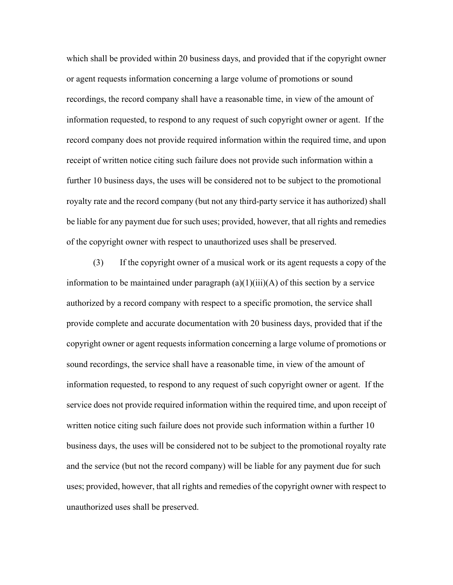which shall be provided within 20 business days, and provided that if the copyright owner or agent requests information concerning a large volume of promotions or sound recordings, the record company shall have a reasonable time, in view of the amount of information requested, to respond to any request of such copyright owner or agent. If the record company does not provide required information within the required time, and upon receipt of written notice citing such failure does not provide such information within a further 10 business days, the uses will be considered not to be subject to the promotional royalty rate and the record company (but not any third-party service it has authorized) shall be liable for any payment due for such uses; provided, however, that all rights and remedies of the copyright owner with respect to unauthorized uses shall be preserved.

 (3) If the copyright owner of a musical work or its agent requests a copy of the information to be maintained under paragraph  $(a)(1)(iii)(A)$  of this section by a service authorized by a record company with respect to a specific promotion, the service shall provide complete and accurate documentation with 20 business days, provided that if the copyright owner or agent requests information concerning a large volume of promotions or sound recordings, the service shall have a reasonable time, in view of the amount of information requested, to respond to any request of such copyright owner or agent. If the service does not provide required information within the required time, and upon receipt of written notice citing such failure does not provide such information within a further 10 business days, the uses will be considered not to be subject to the promotional royalty rate and the service (but not the record company) will be liable for any payment due for such uses; provided, however, that all rights and remedies of the copyright owner with respect to unauthorized uses shall be preserved.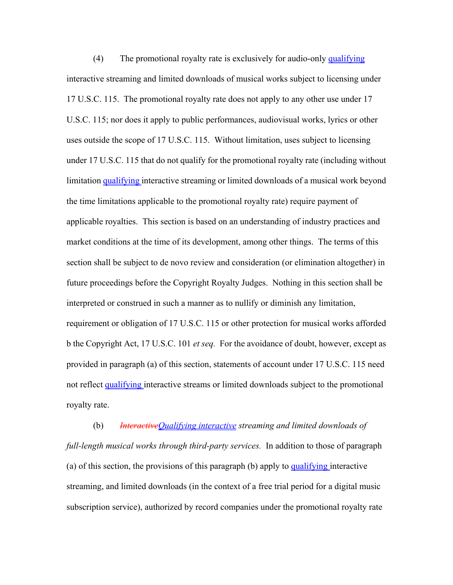(4) The promotional royalty rate is exclusively for audio-only qualifying interactive streaming and limited downloads of musical works subject to licensing under 17 U.S.C. 115. The promotional royalty rate does not apply to any other use under 17 U.S.C. 115; nor does it apply to public performances, audiovisual works, lyrics or other uses outside the scope of 17 U.S.C. 115. Without limitation, uses subject to licensing under 17 U.S.C. 115 that do not qualify for the promotional royalty rate (including without limitation qualifying interactive streaming or limited downloads of a musical work beyond the time limitations applicable to the promotional royalty rate) require payment of applicable royalties. This section is based on an understanding of industry practices and market conditions at the time of its development, among other things. The terms of this section shall be subject to de novo review and consideration (or elimination altogether) in future proceedings before the Copyright Royalty Judges. Nothing in this section shall be interpreted or construed in such a manner as to nullify or diminish any limitation, requirement or obligation of 17 U.S.C. 115 or other protection for musical works afforded b the Copyright Act, 17 U.S.C. 101 *et seq.* For the avoidance of doubt, however, except as provided in paragraph (a) of this section, statements of account under 17 U.S.C. 115 need not reflect qualifying interactive streams or limited downloads subject to the promotional royalty rate.

 (b) *InteractiveQualifying interactive streaming and limited downloads of full-length musical works through third-party services.* In addition to those of paragraph (a) of this section, the provisions of this paragraph (b) apply to  $\frac{qualifying}{line}$  interactive streaming, and limited downloads (in the context of a free trial period for a digital music subscription service), authorized by record companies under the promotional royalty rate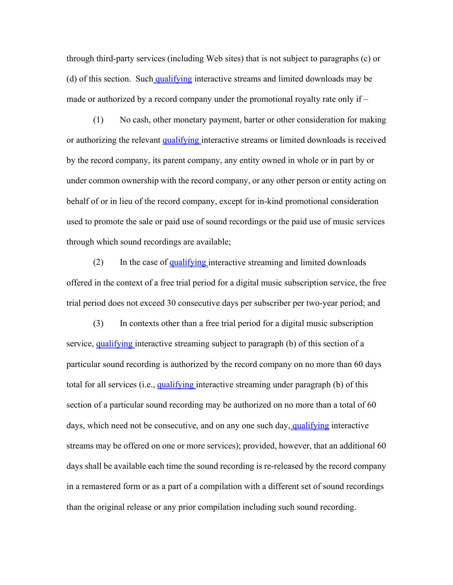through third-party services (including Web sites) that is not subject to paragraphs (c) or (d) of this section. Such qualifying interactive streams and limited downloads may be made or authorized by a record company under the promotional royalty rate only if –

 (1) No cash, other monetary payment, barter or other consideration for making or authorizing the relevant qualifying interactive streams or limited downloads is received by the record company, its parent company, any entity owned in whole or in part by or under common ownership with the record company, or any other person or entity acting on behalf of or in lieu of the record company, except for in-kind promotional consideration used to promote the sale or paid use of sound recordings or the paid use of music services through which sound recordings are available;

(2) In the case of qualifying interactive streaming and limited downloads offered in the context of a free trial period for a digital music subscription service, the free trial period does not exceed 30 consecutive days per subscriber per two-year period; and

 (3) In contexts other than a free trial period for a digital music subscription service, qualifying interactive streaming subject to paragraph (b) of this section of a particular sound recording is authorized by the record company on no more than 60 days total for all services (i.e., qualifying interactive streaming under paragraph (b) of this section of a particular sound recording may be authorized on no more than a total of 60 days, which need not be consecutive, and on any one such day, qualifying interactive streams may be offered on one or more services); provided, however, that an additional 60 days shall be available each time the sound recording is re-released by the record company in a remastered form or as a part of a compilation with a different set of sound recordings than the original release or any prior compilation including such sound recording.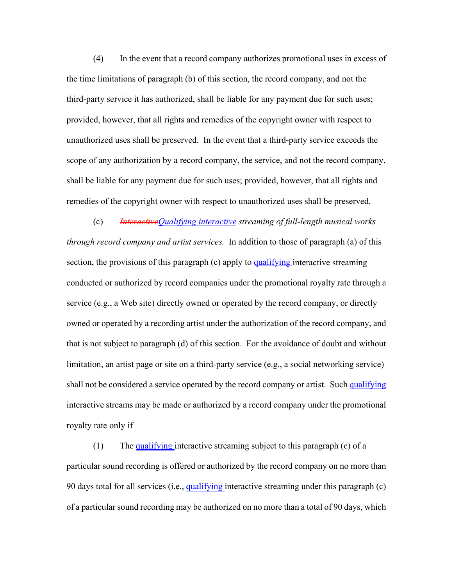(4) In the event that a record company authorizes promotional uses in excess of the time limitations of paragraph (b) of this section, the record company, and not the third-party service it has authorized, shall be liable for any payment due for such uses; provided, however, that all rights and remedies of the copyright owner with respect to unauthorized uses shall be preserved. In the event that a third-party service exceeds the scope of any authorization by a record company, the service, and not the record company, shall be liable for any payment due for such uses; provided, however, that all rights and remedies of the copyright owner with respect to unauthorized uses shall be preserved.

 (c) *InteractiveQualifying interactive streaming of full-length musical works through record company and artist services.* In addition to those of paragraph (a) of this section, the provisions of this paragraph  $(c)$  apply to qualifying interactive streaming conducted or authorized by record companies under the promotional royalty rate through a service (e.g., a Web site) directly owned or operated by the record company, or directly owned or operated by a recording artist under the authorization of the record company, and that is not subject to paragraph (d) of this section. For the avoidance of doubt and without limitation, an artist page or site on a third-party service (e.g., a social networking service) shall not be considered a service operated by the record company or artist. Such qualifying interactive streams may be made or authorized by a record company under the promotional royalty rate only if –

 (1) The qualifying interactive streaming subject to this paragraph (c) of a particular sound recording is offered or authorized by the record company on no more than 90 days total for all services (i.e., qualifying interactive streaming under this paragraph (c) of a particular sound recording may be authorized on no more than a total of 90 days, which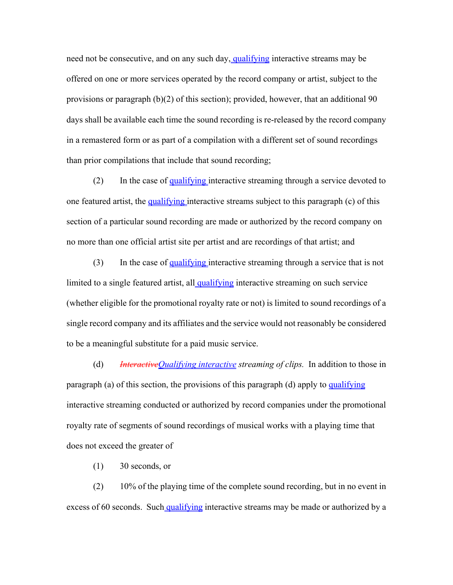need not be consecutive, and on any such day, qualifying interactive streams may be offered on one or more services operated by the record company or artist, subject to the provisions or paragraph (b)(2) of this section); provided, however, that an additional 90 days shall be available each time the sound recording is re-released by the record company in a remastered form or as part of a compilation with a different set of sound recordings than prior compilations that include that sound recording;

 (2) In the case of qualifying interactive streaming through a service devoted to one featured artist, the qualifying interactive streams subject to this paragraph (c) of this section of a particular sound recording are made or authorized by the record company on no more than one official artist site per artist and are recordings of that artist; and

 (3) In the case of qualifying interactive streaming through a service that is not limited to a single featured artist, all qualifying interactive streaming on such service (whether eligible for the promotional royalty rate or not) is limited to sound recordings of a single record company and its affiliates and the service would not reasonably be considered to be a meaningful substitute for a paid music service.

 (d) *InteractiveQualifying interactive streaming of clips.* In addition to those in paragraph (a) of this section, the provisions of this paragraph (d) apply to qualifying interactive streaming conducted or authorized by record companies under the promotional royalty rate of segments of sound recordings of musical works with a playing time that does not exceed the greater of

(1) 30 seconds, or

 (2) 10% of the playing time of the complete sound recording, but in no event in excess of 60 seconds. Such qualifying interactive streams may be made or authorized by a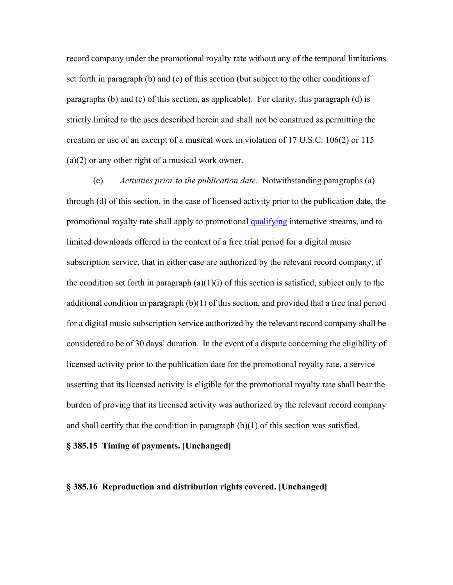record company under the promotional royalty rate without any of the temporal limitations set forth in paragraph (b) and (c) of this section (but subject to the other conditions of paragraphs (b) and (c) of this section, as applicable). For clarity, this paragraph (d) is strictly limited to the uses described herein and shall not be construed as permitting the creation or use of an excerpt of a musical work in violation of 17 U.S.C. 106(2) or 115 (a)(2) or any other right of a musical work owner.

 (e) *Activities prior to the publication date.* Notwithstanding paragraphs (a) through (d) of this section, in the case of licensed activity prior to the publication date, the promotional royalty rate shall apply to promotional qualifying interactive streams, and to limited downloads offered in the context of a free trial period for a digital music subscription service, that in either case are authorized by the relevant record company, if the condition set forth in paragraph  $(a)(1)(i)$  of this section is satisfied, subject only to the additional condition in paragraph (b)(1) of this section, and provided that a free trial period for a digital music subscription service authorized by the relevant record company shall be considered to be of 30 days' duration. In the event of a dispute concerning the eligibility of licensed activity prior to the publication date for the promotional royalty rate, a service asserting that its licensed activity is eligible for the promotional royalty rate shall bear the burden of proving that its licensed activity was authorized by the relevant record company and shall certify that the condition in paragraph  $(b)(1)$  of this section was satisfied.

**§ 385.15 Timing of payments. [Unchanged]**

#### **§ 385.16 Reproduction and distribution rights covered. [Unchanged]**